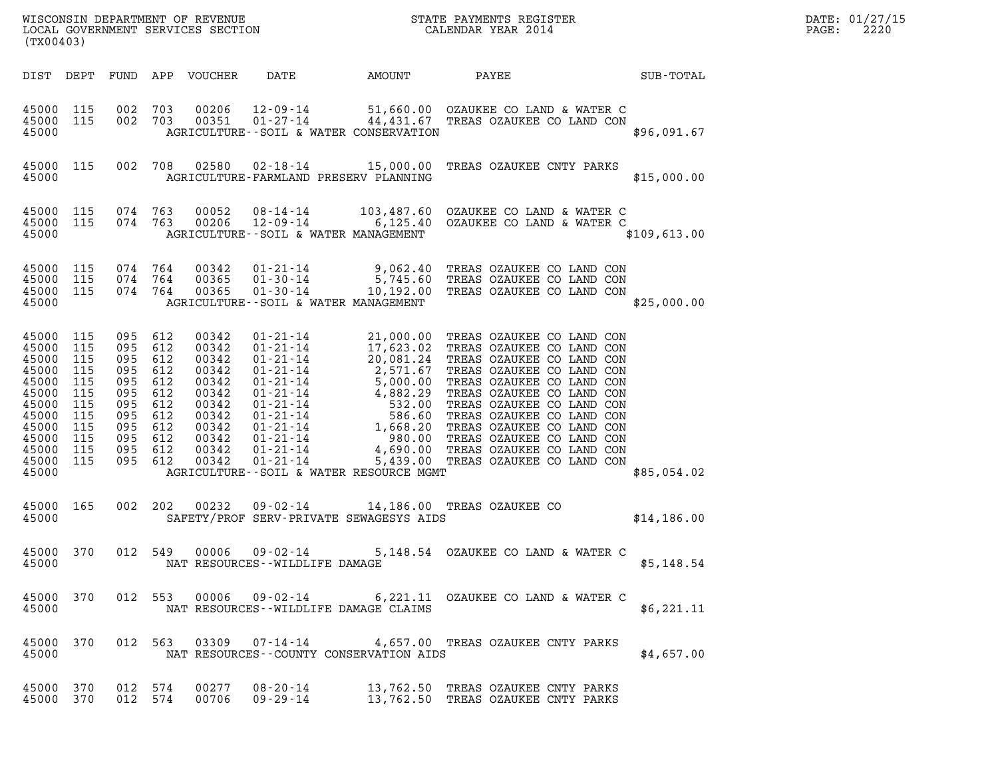| (TX00403)                                                                                                             |                                                                           |                                                                                                                      |                   | LOCAL GOVERNMENT SERVICES SECTION                                                                        |                                                                             |        |                                                                                                                          |              | DATE: 01/27/15<br>2220<br>PAGE: |
|-----------------------------------------------------------------------------------------------------------------------|---------------------------------------------------------------------------|----------------------------------------------------------------------------------------------------------------------|-------------------|----------------------------------------------------------------------------------------------------------|-----------------------------------------------------------------------------|--------|--------------------------------------------------------------------------------------------------------------------------|--------------|---------------------------------|
| DIST DEPT                                                                                                             |                                                                           |                                                                                                                      |                   | FUND APP VOUCHER                                                                                         | DATE                                                                        | AMOUNT | <b>PAYEE</b> FOUND THE PAYEE                                                                                             | SUB-TOTAL    |                                 |
| 45000 115<br>45000 115<br>45000                                                                                       |                                                                           | 002 703<br>002 703                                                                                                   |                   | 00206<br>00351                                                                                           | AGRICULTURE--SOIL & WATER CONSERVATION                                      |        | 12-09-14 51,660.00 OZAUKEE CO LAND & WATER C<br>$01-27-14$ 44,431.67 TREAS OZAUKEE CO LAND CON                           | \$96,091.67  |                                 |
| 45000 115<br>45000                                                                                                    |                                                                           | 002 708                                                                                                              |                   |                                                                                                          | AGRICULTURE-FARMLAND PRESERV PLANNING                                       |        | 02580  02-18-14  15,000.00  TREAS OZAUKEE CNTY PARKS                                                                     | \$15,000.00  |                                 |
| 45000 115<br>45000 115<br>45000                                                                                       |                                                                           | 074 763<br>074 763                                                                                                   |                   | 00052<br>00206                                                                                           | 12-09-14<br>AGRICULTURE--SOIL & WATER MANAGEMENT                            |        | 08-14-14 103,487.60 OZAUKEE CO LAND & WATER C<br>6,125.40 OZAUKEE CO LAND & WATER C                                      | \$109,613.00 |                                 |
| 45000 115<br>45000<br>45000 115<br>45000                                                                              | 115                                                                       | 074 764<br>074 764<br>074 764                                                                                        |                   | 00342<br>00365<br>00365                                                                                  | $01 - 30 - 14$<br>01-30-14<br>AGRICULTURE--SOIL & WATER MANAGEMENT          |        | 01-21-14 9,062.40 TREAS OZAUKEE CO LAND CON<br>5,745.60 TREAS OZAUKEE CO LAND CON<br>10,192.00 TREAS OZAUKEE CO LAND CON | \$25,000.00  |                                 |
| 45000 115<br>45000<br>45000<br>45000<br>45000<br>45000<br>45000<br>45000<br>45000<br>45000<br>45000<br>45000<br>45000 | 115<br>115<br>115<br>115<br>115<br>115<br>115<br>115<br>115<br>115<br>115 | 095 612<br>095<br>095 612<br>095 612<br>095<br>095<br>095 612<br>095 612<br>095 612<br>095 612<br>095 612<br>095 612 | 612<br>612<br>612 | 00342<br>00342<br>00342<br>00342<br>00342<br>00342<br>00342<br>00342<br>00342<br>00342<br>00342<br>00342 | $01 - 21 - 14$<br>$01 - 21 - 14$<br>AGRICULTURE--SOIL & WATER RESOURCE MGMT |        | 21,000.00 TREAS OZAUKEE CO LAND CON<br>5,439.00 TREAS OZAUKEE CO LAND CON                                                | \$85,054.02  |                                 |
| 45000 165<br>45000                                                                                                    |                                                                           | 002 202                                                                                                              |                   | 00232                                                                                                    | SAFETY/PROF SERV-PRIVATE SEWAGESYS AIDS                                     |        | 09-02-14 14,186.00 TREAS OZAUKEE CO                                                                                      | \$14,186.00  |                                 |
| 45000 370<br>45000                                                                                                    |                                                                           |                                                                                                                      |                   |                                                                                                          | NAT RESOURCES--WILDLIFE DAMAGE                                              |        | 012 549 00006 09-02-14 5,148.54 OZAUKEE CO LAND & WATER C                                                                | \$5,148.54   |                                 |
| 45000 370<br>45000                                                                                                    |                                                                           |                                                                                                                      |                   |                                                                                                          | NAT RESOURCES--WILDLIFE DAMAGE CLAIMS                                       |        | 012 553 00006 09-02-14 6,221.11 OZAUKEE CO LAND & WATER C                                                                | \$6,221.11   |                                 |
| 45000 370<br>45000                                                                                                    |                                                                           |                                                                                                                      |                   |                                                                                                          | NAT RESOURCES--COUNTY CONSERVATION AIDS                                     |        | 012 563 03309 07-14-14 4,657.00 TREAS OZAUKEE CNTY PARKS                                                                 | \$4,657.00   |                                 |
| 45000 370<br>45000 370                                                                                                |                                                                           | 012 574<br>012 574                                                                                                   |                   | 00706                                                                                                    | 00277 08-20-14<br>09 - 29 - 14                                              |        | 13,762.50 TREAS OZAUKEE CNTY PARKS<br>13,762.50 TREAS OZAUKEE CNTY PARKS                                                 |              |                                 |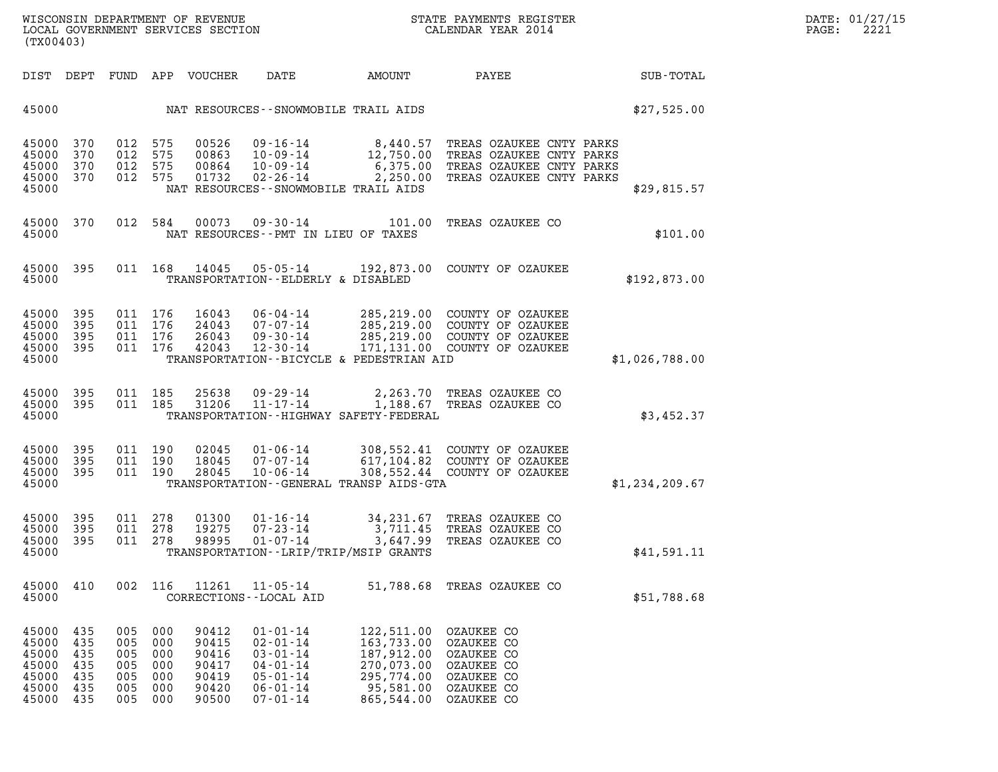| (TX00403)                                                   |                                               |                                               |                                               |                                                             |                                                                                                                            |                                                                                               | WISCONSIN DEPARTMENT OF REVENUE<br>LOCAL GOVERNMENT SERVICES SECTION THE STATE PAYMENTS REGISTER<br>(TWO 0403)                                                                           |                | DATE: 01/27/15<br>$\mathtt{PAGE:}$<br>2221 |
|-------------------------------------------------------------|-----------------------------------------------|-----------------------------------------------|-----------------------------------------------|-------------------------------------------------------------|----------------------------------------------------------------------------------------------------------------------------|-----------------------------------------------------------------------------------------------|------------------------------------------------------------------------------------------------------------------------------------------------------------------------------------------|----------------|--------------------------------------------|
|                                                             |                                               |                                               |                                               |                                                             |                                                                                                                            |                                                                                               | DIST DEPT FUND APP VOUCHER DATE AMOUNT PAYEE PATE SUB-TOTAL                                                                                                                              |                |                                            |
|                                                             |                                               |                                               |                                               |                                                             | 45000 NAT RESOURCES - - SNOWMOBILE TRAIL AIDS                                                                              |                                                                                               | \$27,525.00                                                                                                                                                                              |                |                                            |
| 45000 370<br>45000 370<br>45000 370<br>45000 370<br>45000   |                                               | 012 575<br>012 575<br>012 575                 | 012 575                                       |                                                             | NAT RESOURCES--SNOWMOBILE TRAIL AIDS                                                                                       |                                                                                               |                                                                                                                                                                                          | \$29,815.57    |                                            |
| 45000 370<br>45000                                          |                                               |                                               |                                               |                                                             | NAT RESOURCES--PMT IN LIEU OF TAXES                                                                                        |                                                                                               | 012 584 00073 09-30-14 101.00 TREAS OZAUKEE CO                                                                                                                                           | \$101.00       |                                            |
| 45000 395<br>45000                                          |                                               |                                               |                                               |                                                             | TRANSPORTATION--ELDERLY & DISABLED                                                                                         |                                                                                               | 011 168 14045 05-05-14 192,873.00 COUNTY OF OZAUKEE                                                                                                                                      | \$192,873.00   |                                            |
| 45000 395<br>45000 395<br>45000 395<br>45000 395<br>45000   |                                               | 011 176<br>011 176<br>011 176<br>011 176      |                                               |                                                             |                                                                                                                            | TRANSPORTATION--BICYCLE & PEDESTRIAN AID                                                      | 16043 06-04-14 285,219.00 COUNTY OF OZAUKEE<br>24043 07-07-14 285,219.00 COUNTY OF OZAUKEE<br>26043 09-30-14 285,219.00 COUNTY OF OZAUKEE<br>42043 12-30-14 171,131.00 COUNTY OF OZAUKEE | \$1,026,788.00 |                                            |
| 45000 395<br>45000 395<br>45000                             |                                               |                                               |                                               |                                                             |                                                                                                                            | TRANSPORTATION - - HIGHWAY SAFETY - FEDERAL                                                   | 011 185 25638 09-29-14 2,263.70 TREAS OZAUKEE CO<br>011 185 31206 11-17-14 1,188.67 TREAS OZAUKEE CO                                                                                     | \$3,452.37     |                                            |
| 45000 395<br>45000 395<br>45000 395<br>45000                |                                               | 011 190<br>011 190<br>011 190                 |                                               |                                                             |                                                                                                                            | TRANSPORTATION--GENERAL TRANSP AIDS-GTA                                                       | 02045  01-06-14  308,552.41  COUNTY OF OZAUKEE<br>18045  07-07-14  617,104.82  COUNTY OF OZAUKEE<br>28045  10-06-14  308,552.44  COUNTY OF OZAUKEE                                       | \$1,234,209.67 |                                            |
| 45000 395<br>45000 395<br>45000 395<br>45000                |                                               | 011 278<br>011 278<br>011 278                 |                                               | 01300                                                       | TRANSPORTATION--LRIP/TRIP/MSIP GRANTS                                                                                      |                                                                                               | 01300  01-16-14  34,231.67 TREAS OZAUKEE CO<br>19275  07-23-14  3,711.45 TREAS OZAUKEE CO<br>98995  01-07-14  3,647.99 TREAS OZAUKEE CO                                                  | \$41,591.11    |                                            |
| 45000<br>45000                                              | 410                                           | 002 116                                       |                                               | 11261                                                       | $11 - 05 - 14$<br>CORRECTIONS - - LOCAL AID                                                                                |                                                                                               | 51,788.68 TREAS OZAUKEE CO                                                                                                                                                               | \$51,788.68    |                                            |
| 45000<br>45000<br>45000<br>45000<br>45000<br>45000<br>45000 | 435<br>435<br>435<br>435<br>435<br>435<br>435 | 005<br>005<br>005<br>005<br>005<br>005<br>005 | 000<br>000<br>000<br>000<br>000<br>000<br>000 | 90412<br>90415<br>90416<br>90417<br>90419<br>90420<br>90500 | $01 - 01 - 14$<br>$02 - 01 - 14$<br>$03 - 01 - 14$<br>$04 - 01 - 14$<br>$05 - 01 - 14$<br>$06 - 01 - 14$<br>$07 - 01 - 14$ | 122,511.00<br>163,733.00<br>187,912.00<br>270,073.00<br>295,774.00<br>95,581.00<br>865,544.00 | OZAUKEE CO<br>OZAUKEE CO<br>OZAUKEE CO<br>OZAUKEE CO<br>OZAUKEE CO<br>OZAUKEE CO<br>OZAUKEE CO                                                                                           |                |                                            |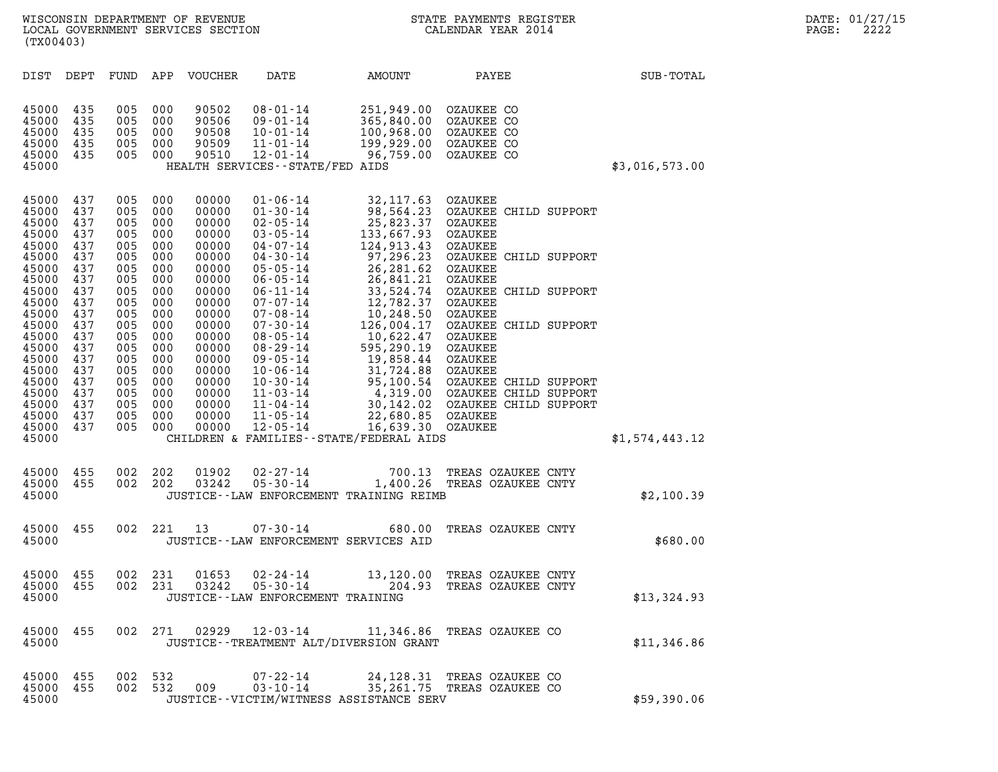(TX00403)

| (TX00403)                                          |                                        |                                        |                                        |                                                    |                                                                                                                             |                                                                                                               |                                                                                                      |                |
|----------------------------------------------------|----------------------------------------|----------------------------------------|----------------------------------------|----------------------------------------------------|-----------------------------------------------------------------------------------------------------------------------------|---------------------------------------------------------------------------------------------------------------|------------------------------------------------------------------------------------------------------|----------------|
| DIST                                               | DEPT                                   | FUND                                   | APP                                    | VOUCHER                                            | DATE                                                                                                                        | AMOUNT                                                                                                        | PAYEE                                                                                                | SUB-TOTAL      |
| 45000<br>45000<br>45000<br>45000<br>45000<br>45000 | 435<br>435<br>435<br>435<br>435        | 005<br>005<br>005<br>005<br>005        | 000<br>000<br>000<br>000<br>000        | 90502<br>90506<br>90508<br>90509<br>90510          | $08 - 01 - 14$<br>$09 - 01 - 14$<br>$10 - 01 - 14$<br>$11 - 01 - 14$<br>$12 - 01 - 14$<br>HEALTH SERVICES -- STATE/FED AIDS | 251,949.00<br>365,840.00 OZAUKEE CO<br>100,968.00 OZAUKEE CO<br>199,929.00 OZAUKEE CO<br>96,759.00 OZAUKEE CO | OZAUKEE CO                                                                                           | \$3,016,573.00 |
| 45000<br>45000<br>45000<br>45000<br>45000          | 437<br>437<br>437<br>437<br>437        | 005<br>005<br>005<br>005<br>005        | 000<br>000<br>000<br>000<br>000        | 00000<br>00000<br>00000<br>00000<br>00000          | $01 - 06 - 14$<br>$01 - 30 - 14$<br>$02 - 05 - 14$<br>$03 - 05 - 14$<br>$04 - 07 - 14$                                      | 32,117.63 OZAUKEE<br>25,823.37<br>133,667.93 OZAUKEE<br>124,913.43                                            | 98,564.23 OZAUKEE CHILD SUPPORT<br>OZAUKEE<br>OZAUKEE                                                |                |
| 45000<br>45000<br>45000<br>45000<br>45000<br>45000 | 437<br>437<br>437<br>437<br>437<br>437 | 005<br>005<br>005<br>005<br>005<br>005 | 000<br>000<br>000<br>000<br>000<br>000 | 00000<br>00000<br>00000<br>00000<br>00000<br>00000 | $04 - 30 - 14$<br>$05 - 05 - 14$<br>$06 - 05 - 14$<br>$06 - 11 - 14$<br>$07 - 07 - 14$<br>$07 - 08 - 14$                    | 26,281.62 OZAUKEE<br>26,841.21 OZAUKEE<br>12,782.37<br>10,248.50 OZAUKEE                                      | 97,296.23 OZAUKEE CHILD SUPPORT<br>33,524.74 OZAUKEE CHILD SUPPORT<br>OZAUKEE                        |                |
| 45000<br>45000<br>45000<br>45000<br>45000          | 437<br>437<br>437<br>437<br>437        | 005<br>005<br>005<br>005<br>005        | 000<br>000<br>000<br>000<br>000        | 00000<br>00000<br>00000<br>00000<br>00000          | $07 - 30 - 14$<br>$08 - 05 - 14$<br>$08 - 29 - 14$<br>$09 - 05 - 14$<br>$10 - 06 - 14$                                      | 10,622.47<br>595,290.19<br>19,858.44<br>31,724.88 OZAUKEE                                                     | 126,004.17 OZAUKEE CHILD SUPPORT<br>OZAUKEE<br>OZAUKEE<br>OZAUKEE                                    |                |
| 45000<br>45000<br>45000<br>45000<br>45000<br>45000 | 437<br>437<br>437<br>437<br>437        | 005<br>005<br>005<br>005<br>005        | 000<br>000<br>000<br>000<br>000        | 00000<br>00000<br>00000<br>00000<br>00000          | $10 - 30 - 14$<br>$11 - 03 - 14$<br>$11 - 04 - 14$<br>$11 - 05 - 14$<br>$12 - 05 - 14$                                      | 22,680.85 OZAUKEE<br>16,639.30 OZAUKEE<br>CHILDREN & FAMILIES - - STATE/FEDERAL AIDS                          | 95,100.54 OZAUKEE CHILD SUPPORT<br>4,319.00 OZAUKEE CHILD SUPPORT<br>30,142.02 OZAUKEE CHILD SUPPORT | \$1,574,443.12 |
| 45000<br>45000<br>45000                            | 455<br>455                             | 002<br>002                             | 202<br>202                             | 01902<br>03242                                     | $02 - 27 - 14$<br>$05 - 30 - 14$                                                                                            | 700.13<br>1,400.26<br>JUSTICE--LAW ENFORCEMENT TRAINING REIMB                                                 | TREAS OZAUKEE CNTY<br>TREAS OZAUKEE CNTY                                                             | \$2,100.39     |
| 45000<br>45000                                     | 455                                    | 002                                    | 221                                    | 13                                                 | $07 - 30 - 14$<br>JUSTICE--LAW ENFORCEMENT SERVICES AID                                                                     | 680.00                                                                                                        | TREAS OZAUKEE CNTY                                                                                   | \$680.00       |
| 45000<br>45000<br>45000                            | 455<br>455                             | 002<br>002                             | 231<br>231                             | 01653<br>03242                                     | $02 - 24 - 14$<br>$05 - 30 - 14$<br>JUSTICE - - LAW ENFORCEMENT TRAINING                                                    | 13,120.00<br>204.93                                                                                           | TREAS OZAUKEE CNTY<br>TREAS OZAUKEE CNTY                                                             | \$13,324.93    |
| 45000<br>45000                                     | 455                                    |                                        | 002 271                                | 02929                                              |                                                                                                                             | JUSTICE - - TREATMENT ALT/DIVERSION GRANT                                                                     | 12-03-14 11,346.86 TREAS OZAUKEE CO                                                                  | \$11,346.86    |
| 45000<br>45000<br>45000                            | 455<br>455                             | 002<br>002                             | 532<br>532                             | 009                                                | $07 - 22 - 14$<br>$03 - 10 - 14$                                                                                            | JUSTICE - - VICTIM/WITNESS ASSISTANCE SERV                                                                    | 24,128.31 TREAS OZAUKEE CO<br>35,261.75 TREAS OZAUKEE CO                                             | \$59,390.06    |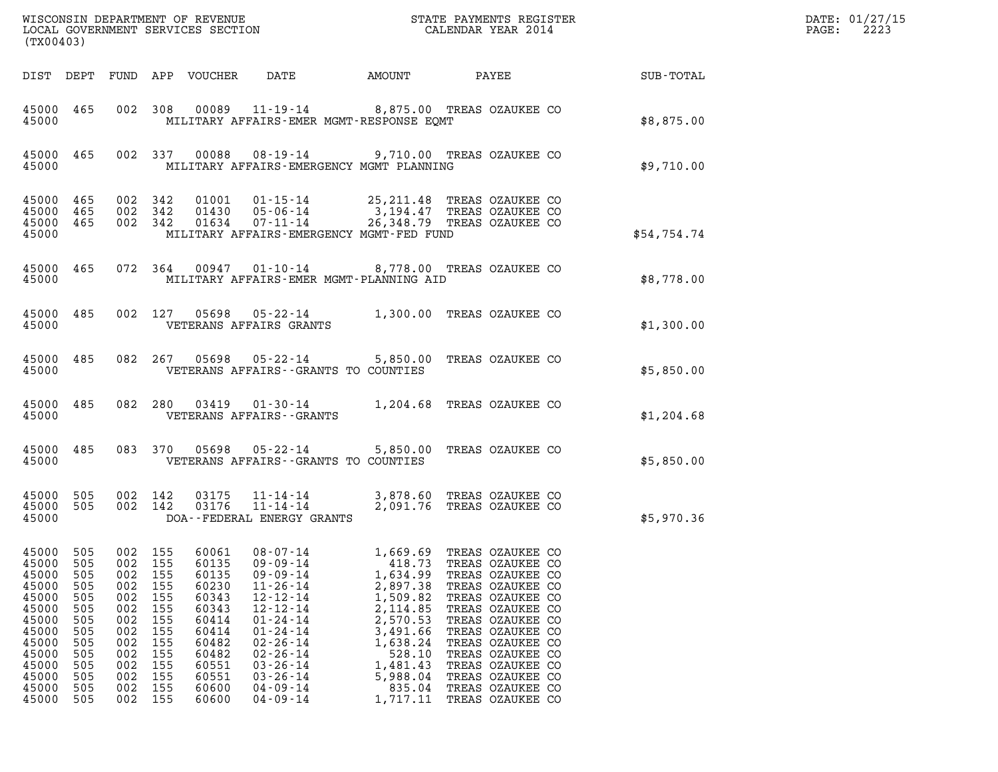| (TX00403)                                                                                                                      |                                                                                         |                                                                                                    |                                                                                         |                                                                                                                            |                                                                                                                                                                                                                                                          |                                                                                                                                                                |                                                                                                                                                                                                                                                                                      |                                           | DATE: 01/27/15<br>2223<br>$\mathtt{PAGE:}$ |
|--------------------------------------------------------------------------------------------------------------------------------|-----------------------------------------------------------------------------------------|----------------------------------------------------------------------------------------------------|-----------------------------------------------------------------------------------------|----------------------------------------------------------------------------------------------------------------------------|----------------------------------------------------------------------------------------------------------------------------------------------------------------------------------------------------------------------------------------------------------|----------------------------------------------------------------------------------------------------------------------------------------------------------------|--------------------------------------------------------------------------------------------------------------------------------------------------------------------------------------------------------------------------------------------------------------------------------------|-------------------------------------------|--------------------------------------------|
|                                                                                                                                |                                                                                         |                                                                                                    |                                                                                         | DIST DEPT FUND APP VOUCHER                                                                                                 | DATE                                                                                                                                                                                                                                                     | AMOUNT                                                                                                                                                         |                                                                                                                                                                                                                                                                                      | <b>PAYEE</b> FOUND THE PAYEE<br>SUB-TOTAL |                                            |
| 45000                                                                                                                          | 45000 465                                                                               |                                                                                                    |                                                                                         |                                                                                                                            | 002 308 00089 11-19-14 8,875.00 TREAS OZAUKEE CO<br>MILITARY AFFAIRS-EMER MGMT-RESPONSE EOMT                                                                                                                                                             |                                                                                                                                                                |                                                                                                                                                                                                                                                                                      | \$8,875.00                                |                                            |
| 45000                                                                                                                          | 45000 465                                                                               |                                                                                                    | 002 337                                                                                 |                                                                                                                            | 00088  08-19-14  9,710.00 TREAS OZAUKEE CO<br>MILITARY AFFAIRS-EMERGENCY MGMT PLANNING                                                                                                                                                                   |                                                                                                                                                                |                                                                                                                                                                                                                                                                                      | \$9,710.00                                |                                            |
| 45000<br>45000                                                                                                                 | 45000 465<br>465<br>45000 465                                                           | 002 342<br>002 342<br>002 342                                                                      |                                                                                         |                                                                                                                            | 01001  01-15-14  25,211.48 TREAS OZAUKEE CO<br>01430  05-06-14  3,194.47 TREAS OZAUKEE CO<br>$01634$ $07 - 11 - 14$<br>MILITARY AFFAIRS-EMERGENCY MGMT-FED FUND                                                                                          |                                                                                                                                                                | 26,348.79 TREAS OZAUKEE CO                                                                                                                                                                                                                                                           | \$54,754.74                               |                                            |
| 45000                                                                                                                          | 45000 465                                                                               |                                                                                                    |                                                                                         |                                                                                                                            | 072  364  00947  01-10-14  8,778.00  TREAS OZAUKEE CO<br>MILITARY AFFAIRS-EMER MGMT-PLANNING AID                                                                                                                                                         |                                                                                                                                                                |                                                                                                                                                                                                                                                                                      | \$8,778.00                                |                                            |
| 45000                                                                                                                          | 45000 485                                                                               |                                                                                                    |                                                                                         |                                                                                                                            | 002 127 05698 05-22-14 1,300.00 TREAS OZAUKEE CO<br>VETERANS AFFAIRS GRANTS                                                                                                                                                                              |                                                                                                                                                                |                                                                                                                                                                                                                                                                                      | \$1,300.00                                |                                            |
| 45000                                                                                                                          | 45000 485                                                                               |                                                                                                    |                                                                                         |                                                                                                                            | 082  267  05698  05-22-14  5,850.00  TREAS OZAUKEE CO<br>VETERANS AFFAIRS -- GRANTS TO COUNTIES                                                                                                                                                          |                                                                                                                                                                |                                                                                                                                                                                                                                                                                      | \$5,850.00                                |                                            |
| 45000                                                                                                                          | 45000 485                                                                               |                                                                                                    |                                                                                         |                                                                                                                            | 082 280 03419 01-30-14 1,204.68 TREAS OZAUKEE CO<br>VETERANS AFFAIRS - - GRANTS                                                                                                                                                                          |                                                                                                                                                                |                                                                                                                                                                                                                                                                                      | \$1,204.68                                |                                            |
| 45000                                                                                                                          | 45000 485                                                                               |                                                                                                    |                                                                                         |                                                                                                                            | 083 370 05698 05-22-14 5,850.00 TREAS OZAUKEE CO<br>VETERANS AFFAIRS -- GRANTS TO COUNTIES                                                                                                                                                               |                                                                                                                                                                |                                                                                                                                                                                                                                                                                      | \$5,850.00                                |                                            |
| 45000 505<br>45000 505<br>45000                                                                                                |                                                                                         | 002 142<br>002 142                                                                                 |                                                                                         | 03175<br>03176                                                                                                             | $11 - 14 - 14$<br>DOA--FEDERAL ENERGY GRANTS                                                                                                                                                                                                             |                                                                                                                                                                | 11-14-14 3,878.60 TREAS OZAUKEE CO<br>2,091.76 TREAS OZAUKEE CO                                                                                                                                                                                                                      | \$5,970.36                                |                                            |
| 45000 505<br>45000<br>45000<br>45000<br>45000<br>45000<br>45000<br>45000<br>45000<br>45000<br>45000<br>45000<br>45000<br>45000 | 505<br>505<br>505<br>505<br>505<br>505<br>505<br>505<br>505<br>505<br>505<br>505<br>505 | 002 155<br>002<br>002<br>002<br>002<br>002<br>002<br>002<br>002<br>002<br>002<br>002<br>002<br>002 | 155<br>155<br>155<br>155<br>155<br>155<br>155<br>155<br>155<br>155<br>155<br>155<br>155 | 60061<br>60135<br>60135<br>60230<br>60343<br>60343<br>60414<br>60414<br>60482<br>60482<br>60551<br>60551<br>60600<br>60600 | $08 - 07 - 14$<br>$09 - 09 - 14$<br>$09 - 09 - 14$<br>$11 - 26 - 14$<br>$12 - 12 - 14$<br>$12 - 12 - 14$<br>$01 - 24 - 14$<br>$01 - 24 - 14$<br>$02 - 26 - 14$<br>$02 - 26 - 14$<br>$03 - 26 - 14$<br>$03 - 26 - 14$<br>$04 - 09 - 14$<br>$04 - 09 - 14$ | 1,669.69<br>418.73<br>1,634.99<br>2,897.38<br>1,509.82<br>2,114.85<br>2,570.53<br>3,491.66<br>1,638.24<br>528.10<br>1,481.43<br>5,988.04<br>835.04<br>1,717.11 | TREAS OZAUKEE CO<br>TREAS OZAUKEE CO<br>TREAS OZAUKEE CO<br>TREAS OZAUKEE CO<br>TREAS OZAUKEE CO<br>TREAS OZAUKEE CO<br>TREAS OZAUKEE CO<br>TREAS OZAUKEE CO<br>TREAS OZAUKEE CO<br>TREAS OZAUKEE CO<br>TREAS OZAUKEE CO<br>TREAS OZAUKEE CO<br>TREAS OZAUKEE CO<br>TREAS OZAUKEE CO |                                           |                                            |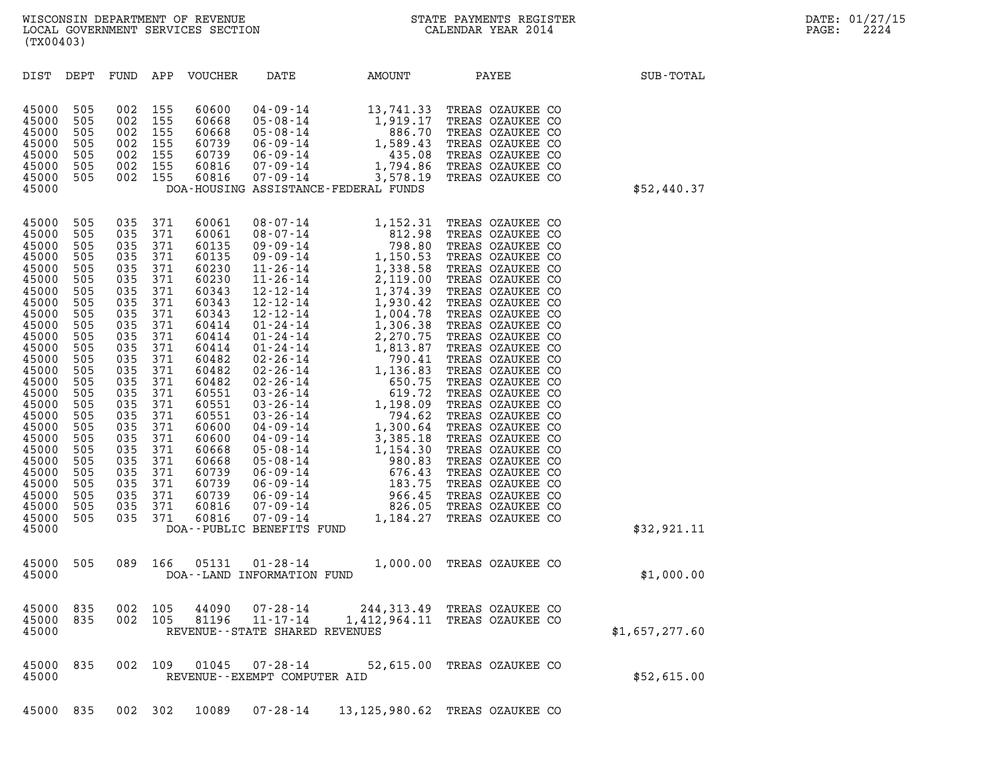| (TX00403)                                                                                                                                                                                                                                                |                                                                                                                                                                                           |                                                                                                                                                                                           |                                                                                                                                                                                           |                                                                                                                                                                                                                                                 |                                                                                                                                                                                                                                                                                                                                                                                                                                                                                                                                                            |                                                                                                                                                                                                                                                                                                                    |                                                                                                                                                                                                                                                                                                                                                                                                                                                                                                                                                          |                |
|----------------------------------------------------------------------------------------------------------------------------------------------------------------------------------------------------------------------------------------------------------|-------------------------------------------------------------------------------------------------------------------------------------------------------------------------------------------|-------------------------------------------------------------------------------------------------------------------------------------------------------------------------------------------|-------------------------------------------------------------------------------------------------------------------------------------------------------------------------------------------|-------------------------------------------------------------------------------------------------------------------------------------------------------------------------------------------------------------------------------------------------|------------------------------------------------------------------------------------------------------------------------------------------------------------------------------------------------------------------------------------------------------------------------------------------------------------------------------------------------------------------------------------------------------------------------------------------------------------------------------------------------------------------------------------------------------------|--------------------------------------------------------------------------------------------------------------------------------------------------------------------------------------------------------------------------------------------------------------------------------------------------------------------|----------------------------------------------------------------------------------------------------------------------------------------------------------------------------------------------------------------------------------------------------------------------------------------------------------------------------------------------------------------------------------------------------------------------------------------------------------------------------------------------------------------------------------------------------------|----------------|
| DIST                                                                                                                                                                                                                                                     | DEPT                                                                                                                                                                                      | FUND                                                                                                                                                                                      | APP                                                                                                                                                                                       | <b>VOUCHER</b>                                                                                                                                                                                                                                  | DATE                                                                                                                                                                                                                                                                                                                                                                                                                                                                                                                                                       | AMOUNT                                                                                                                                                                                                                                                                                                             | PAYEE                                                                                                                                                                                                                                                                                                                                                                                                                                                                                                                                                    | SUB-TOTAL      |
| 45000<br>45000<br>45000<br>45000<br>45000<br>45000<br>45000<br>45000                                                                                                                                                                                     | 505<br>505<br>505<br>505<br>505<br>505<br>505                                                                                                                                             | 002<br>002<br>002<br>002<br>002<br>002<br>002                                                                                                                                             | 155<br>155<br>155<br>155<br>155<br>155<br>155                                                                                                                                             | 60600<br>60668<br>60668<br>60739<br>60739<br>60816<br>60816                                                                                                                                                                                     | $04 - 09 - 14$<br>$05 - 08 - 14$<br>$05 - 08 - 14$<br>$06 - 09 - 14$<br>$06 - 09 - 14$<br>$07 - 09 - 14$<br>$07 - 09 - 14$                                                                                                                                                                                                                                                                                                                                                                                                                                 | 13,741.33<br>1,919.17<br>886.70<br>1,589.43<br>435.08<br>1,794.86<br>3,578.19<br>DOA-HOUSING ASSISTANCE-FEDERAL FUNDS                                                                                                                                                                                              | TREAS OZAUKEE CO<br>TREAS OZAUKEE CO<br>TREAS OZAUKEE CO<br>TREAS OZAUKEE CO<br>TREAS OZAUKEE CO<br>TREAS OZAUKEE CO<br>TREAS OZAUKEE CO                                                                                                                                                                                                                                                                                                                                                                                                                 | \$52,440.37    |
| 45000<br>45000<br>45000<br>45000<br>45000<br>45000<br>45000<br>45000<br>45000<br>45000<br>45000<br>45000<br>45000<br>45000<br>45000<br>45000<br>45000<br>45000<br>45000<br>45000<br>45000<br>45000<br>45000<br>45000<br>45000<br>45000<br>45000<br>45000 | 505<br>505<br>505<br>505<br>505<br>505<br>505<br>505<br>505<br>505<br>505<br>505<br>505<br>505<br>505<br>505<br>505<br>505<br>505<br>505<br>505<br>505<br>505<br>505<br>505<br>505<br>505 | 035<br>035<br>035<br>035<br>035<br>035<br>035<br>035<br>035<br>035<br>035<br>035<br>035<br>035<br>035<br>035<br>035<br>035<br>035<br>035<br>035<br>035<br>035<br>035<br>035<br>035<br>035 | 371<br>371<br>371<br>371<br>371<br>371<br>371<br>371<br>371<br>371<br>371<br>371<br>371<br>371<br>371<br>371<br>371<br>371<br>371<br>371<br>371<br>371<br>371<br>371<br>371<br>371<br>371 | 60061<br>60061<br>60135<br>60135<br>60230<br>60230<br>60343<br>60343<br>60343<br>60414<br>60414<br>60414<br>60482<br>60482<br>60482<br>60551<br>60551<br>60551<br>60600<br>60600<br>60668<br>60668<br>60739<br>60739<br>60739<br>60816<br>60816 | $08 - 07 - 14$<br>$08 - 07 - 14$<br>$09 - 09 - 14$<br>$09 - 09 - 14$<br>$11 - 26 - 14$<br>$11 - 26 - 14$<br>$12 - 12 - 14$<br>$\begin{array}{c} 12 - 12 - 14 \\ 12 - 12 - 14 \end{array}$<br>$01 - 24 - 14$<br>$01 - 24 - 14$<br>$01 - 24 - 14$<br>$02 - 26 - 14$<br>$02 - 26 - 14$<br>$02 - 26 - 14$<br>$03 - 26 - 14$<br>$03 - 26 - 14$<br>$03 - 26 - 14$<br>$04 - 09 - 14$<br>$04 - 09 - 14$<br>$05 - 08 - 14$<br>$05 - 08 - 14$<br>$06 - 09 - 14$<br>$06 - 09 - 14$<br>$06 - 09 - 14$<br>$07 - 09 - 14$<br>$07 - 09 - 14$<br>DOA--PUBLIC BENEFITS FUND | 1,152.31<br>812.98<br>798.80<br>$1,150.53$<br>$1,338.58$<br>$2,119.00$<br>1,374.39<br>1,930.42<br>1,004.78<br>1,306.38<br>2,270.75<br>1,813.87<br>790.41<br>1,136.83<br>650.75<br>619.72<br>1,198.09<br>794.62<br>1,300.64<br>3,385.18<br>1,154.30<br>980.83<br>676.43<br>$183.75$<br>966.45<br>826.05<br>1,184.27 | TREAS OZAUKEE CO<br>TREAS OZAUKEE CO<br>TREAS OZAUKEE CO<br>TREAS OZAUKEE CO<br>TREAS OZAUKEE CO<br>TREAS OZAUKEE CO<br>TREAS OZAUKEE CO<br>TREAS OZAUKEE CO<br>TREAS OZAUKEE CO<br>TREAS OZAUKEE CO<br>TREAS OZAUKEE CO<br>TREAS OZAUKEE CO<br>TREAS OZAUKEE CO<br>TREAS OZAUKEE CO<br>TREAS OZAUKEE CO<br>TREAS OZAUKEE CO<br>TREAS OZAUKEE CO<br>TREAS OZAUKEE CO<br>TREAS OZAUKEE CO<br>TREAS OZAUKEE CO<br>TREAS OZAUKEE CO<br>TREAS OZAUKEE CO<br>TREAS OZAUKEE CO<br>TREAS OZAUKEE CO<br>TREAS OZAUKEE CO<br>TREAS OZAUKEE CO<br>TREAS OZAUKEE CO | \$32,921.11    |
| 45000<br>45000                                                                                                                                                                                                                                           | 505                                                                                                                                                                                       | 089                                                                                                                                                                                       | 166                                                                                                                                                                                       | 05131                                                                                                                                                                                                                                           | $01 - 28 - 14$<br>DOA--LAND INFORMATION FUND                                                                                                                                                                                                                                                                                                                                                                                                                                                                                                               | 1,000.00                                                                                                                                                                                                                                                                                                           | TREAS OZAUKEE CO                                                                                                                                                                                                                                                                                                                                                                                                                                                                                                                                         | \$1,000.00     |
| 45000 835<br>45000<br>45000                                                                                                                                                                                                                              | 835                                                                                                                                                                                       | 002 105<br>002                                                                                                                                                                            | 105                                                                                                                                                                                       | 44090<br>81196                                                                                                                                                                                                                                  | $07 - 28 - 14$<br>11-17-14<br>REVENUE - - STATE SHARED REVENUES                                                                                                                                                                                                                                                                                                                                                                                                                                                                                            | 244,313.49<br>1,412,964.11                                                                                                                                                                                                                                                                                         | TREAS OZAUKEE CO<br>TREAS OZAUKEE CO                                                                                                                                                                                                                                                                                                                                                                                                                                                                                                                     | \$1,657,277.60 |
| 45000<br>45000                                                                                                                                                                                                                                           | 835                                                                                                                                                                                       | 002                                                                                                                                                                                       | 109                                                                                                                                                                                       | 01045                                                                                                                                                                                                                                           | 07-28-14<br>REVENUE - - EXEMPT COMPUTER AID                                                                                                                                                                                                                                                                                                                                                                                                                                                                                                                | 52,615.00                                                                                                                                                                                                                                                                                                          | TREAS OZAUKEE CO                                                                                                                                                                                                                                                                                                                                                                                                                                                                                                                                         | \$52,615.00    |

45000 835 002 302 10089 07-28-14 13,125,980.62 TREAS OZAUKEE CO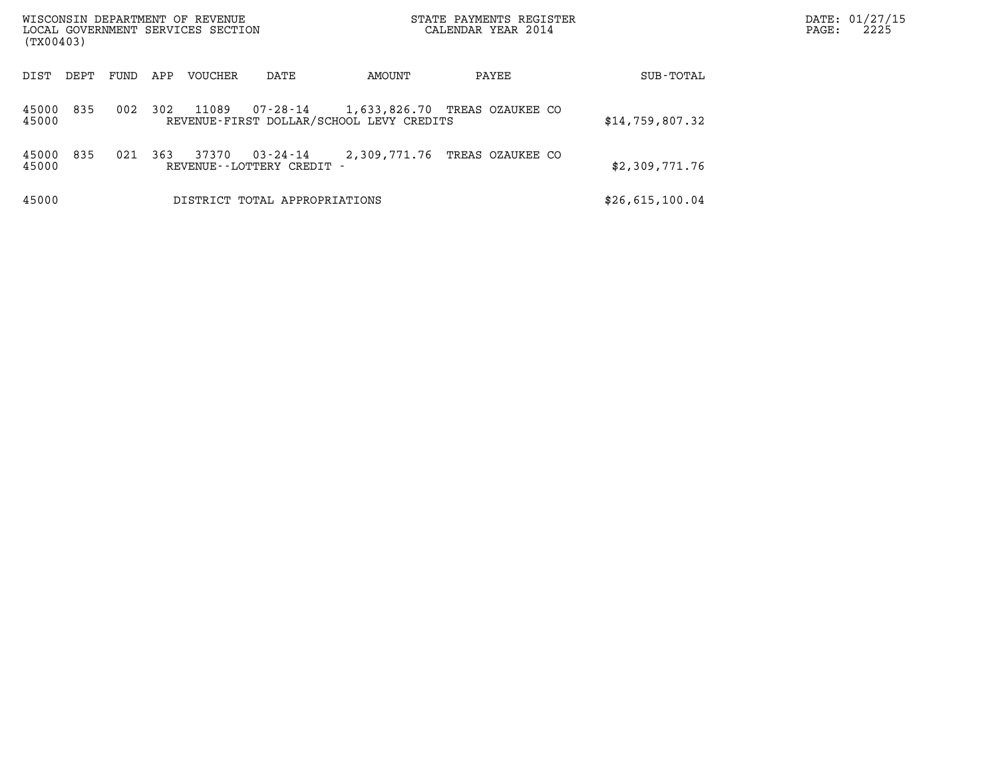| WISCONSIN DEPARTMENT OF REVENUE<br>LOCAL GOVERNMENT SERVICES SECTION<br>(TX00403) |      |     |         |                                     |                                          | STATE PAYMENTS REGISTER<br>CALENDAR YEAR 2014 |                 | DATE: 01/27/15<br>2225<br>$\mathtt{PAGE}$ : |
|-----------------------------------------------------------------------------------|------|-----|---------|-------------------------------------|------------------------------------------|-----------------------------------------------|-----------------|---------------------------------------------|
| DIST<br>DEPT                                                                      | FUND | APP | VOUCHER | DATE                                | AMOUNT                                   | PAYEE                                         | SUB-TOTAL       |                                             |
| 835<br>45000<br>45000                                                             | 002  | 302 | 11089   |                                     | REVENUE-FIRST DOLLAR/SCHOOL LEVY CREDITS | 07-28-14   1,633,826.70 TREAS OZAUKEE CO      | \$14,759,807.32 |                                             |
| 835<br>45000<br>45000                                                             | 021  | 363 | 37370   | 03-24-14<br>REVENUE--LOTTERY CREDIT | 2,309,771.76                             | TREAS OZAUKEE CO                              | \$2,309,771.76  |                                             |
| 45000                                                                             |      |     |         | DISTRICT TOTAL APPROPRIATIONS       |                                          |                                               | \$26,615,100.04 |                                             |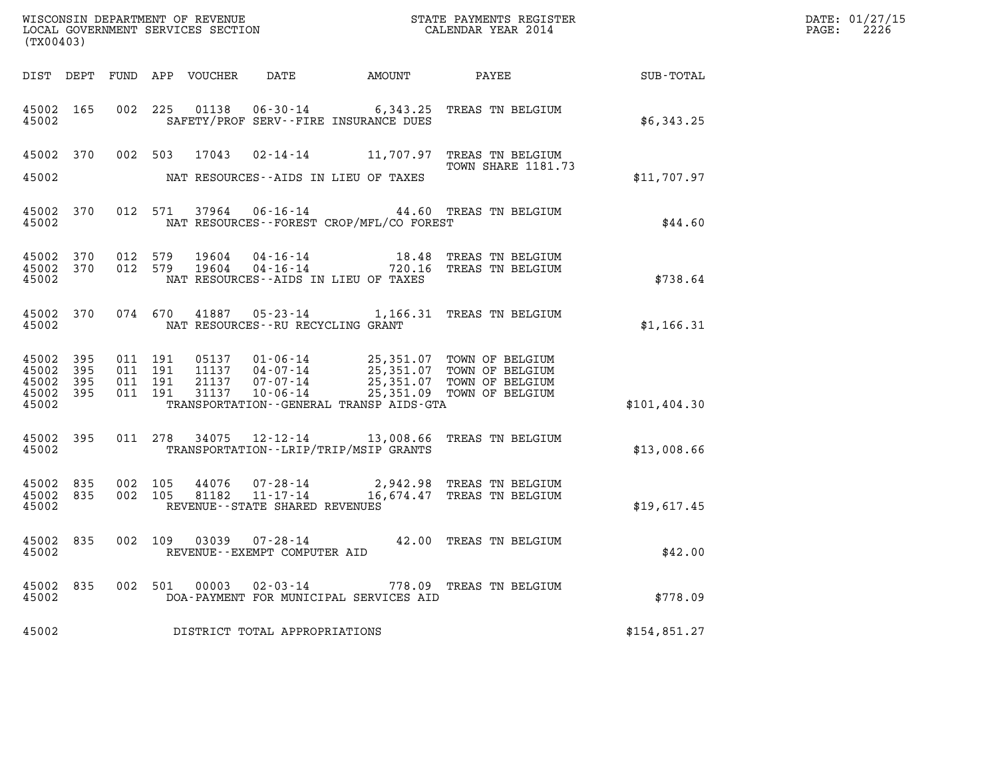| (TX00403)                                     |                   |                                          |         |                            |                                                           |                                          |                                                                                                                                                                                          |              | DATE: 01/27/15<br>$\mathtt{PAGE:}$<br>2226 |
|-----------------------------------------------|-------------------|------------------------------------------|---------|----------------------------|-----------------------------------------------------------|------------------------------------------|------------------------------------------------------------------------------------------------------------------------------------------------------------------------------------------|--------------|--------------------------------------------|
|                                               |                   |                                          |         | DIST DEPT FUND APP VOUCHER | DATE                                                      |                                          | AMOUNT PAYEE SUB-TOTAL                                                                                                                                                                   |              |                                            |
| 45002 165<br>45002                            |                   |                                          |         |                            | SAFETY/PROF SERV--FIRE INSURANCE DUES                     |                                          | 002 225 01138 06-30-14 6,343.25 TREAS TN BELGIUM                                                                                                                                         | \$6,343.25   |                                            |
|                                               |                   |                                          |         |                            |                                                           |                                          | 45002 370 002 503 17043 02-14-14 11,707.97 TREAS TN BELGIUM<br>TOWN SHARE 1181.73                                                                                                        |              |                                            |
| 45002                                         |                   |                                          |         |                            | NAT RESOURCES--AIDS IN LIEU OF TAXES                      |                                          |                                                                                                                                                                                          | \$11,707.97  |                                            |
| 45002                                         | 45002 370         |                                          |         |                            |                                                           | NAT RESOURCES--FOREST CROP/MFL/CO FOREST | 012 571 37964 06-16-14 44.60 TREAS TN BELGIUM                                                                                                                                            | \$44.60      |                                            |
| 45002 370<br>45002 370<br>45002               |                   | 012 579                                  | 012 579 | 19604<br>19604             | NAT RESOURCES--AIDS IN LIEU OF TAXES                      |                                          | 04-16-14 18.48 TREAS TN BELGIUM<br>04-16-14 720.16 TREAS TN BELGIUM                                                                                                                      | \$738.64     |                                            |
| 45002                                         |                   |                                          |         |                            | NAT RESOURCES--RU RECYCLING GRANT                         |                                          | 45002 370 074 670 41887 05-23-14 1,166.31 TREAS TN BELGIUM                                                                                                                               | \$1,166.31   |                                            |
| 45002 395<br>45002<br>45002<br>45002<br>45002 | 395<br>395<br>395 | 011 191<br>011 191<br>011 191<br>011 191 |         |                            |                                                           | TRANSPORTATION--GENERAL TRANSP AIDS-GTA  | 05137  01-06-14  25,351.07  TOWN OF BELGIUM<br>11137  04-07-14  25,351.07  TOWN OF BELGIUM<br>21137  07-07-14  25,351.07  TOWN OF BELGIUM<br>31137  10-06-14  25,351.09  TOWN OF BELGIUM | \$101,404.30 |                                            |
| 45002 395<br>45002                            |                   |                                          |         |                            | TRANSPORTATION - - LRIP/TRIP/MSIP GRANTS                  |                                          | 011 278 34075 12-12-14 13,008.66 TREAS TN BELGIUM                                                                                                                                        | \$13,008.66  |                                            |
| 45002<br>45002 835<br>45002                   | 835               | 002 105<br>002 105                       |         | 44076<br>81182             | REVENUE--STATE SHARED REVENUES                            |                                          | 07-28-14 2,942.98 TREAS TN BELGIUM<br>11-17-14 16,674.47 TREAS TN BELGIUM                                                                                                                | \$19,617.45  |                                            |
| 45002 835<br>45002                            |                   |                                          |         |                            | 002 109 03039 07-28-14<br>REVENUE - - EXEMPT COMPUTER AID |                                          | 42.00 TREAS TN BELGIUM                                                                                                                                                                   | \$42.00      |                                            |
| 45002 835<br>45002                            |                   |                                          | 002 501 |                            | $00003$ $02 - 03 - 14$                                    | DOA-PAYMENT FOR MUNICIPAL SERVICES AID   | 778.09 TREAS TN BELGIUM                                                                                                                                                                  | \$778.09     |                                            |
| 45002                                         |                   |                                          |         |                            | DISTRICT TOTAL APPROPRIATIONS                             |                                          |                                                                                                                                                                                          | \$154,851.27 |                                            |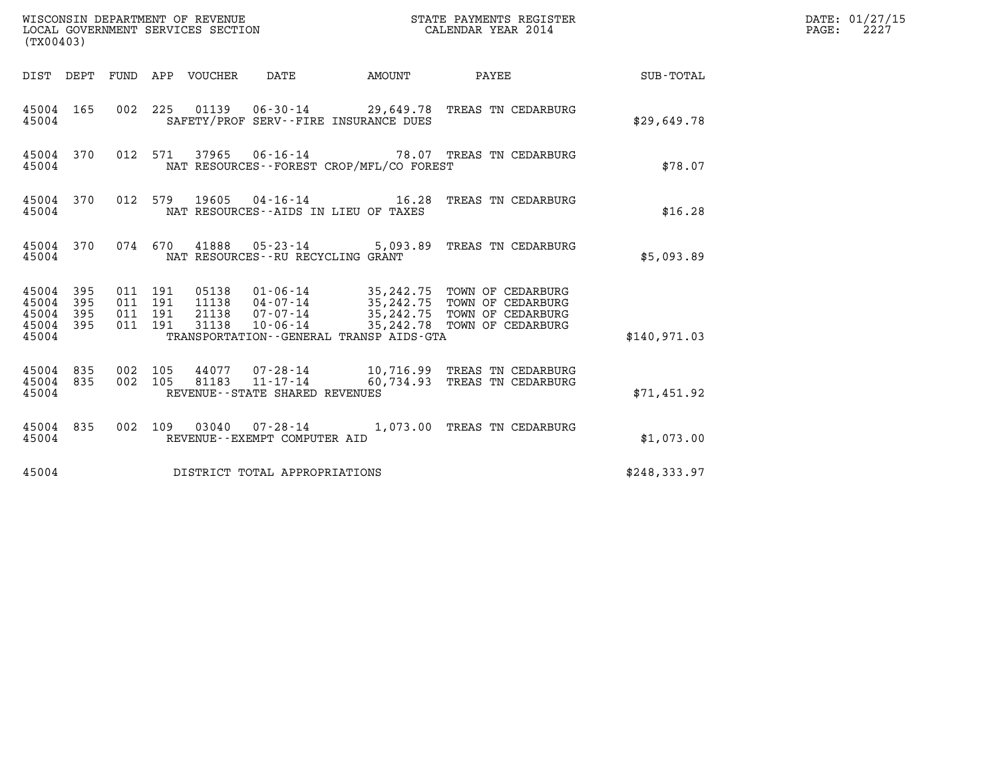| (TX00403)                                         |            |                                          |                                  | WISCONSIN DEPARTMENT OF REVENUE<br>LOCAL GOVERNMENT SERVICES SECTION |                                             | STATE PAYMENTS REGISTER<br>CALENDAR YEAR 2014                                                                                               |              | DATE: 01/27/15<br>$\mathtt{PAGE}$ :<br>2227 |
|---------------------------------------------------|------------|------------------------------------------|----------------------------------|----------------------------------------------------------------------|---------------------------------------------|---------------------------------------------------------------------------------------------------------------------------------------------|--------------|---------------------------------------------|
|                                                   |            |                                          | DIST DEPT FUND APP VOUCHER DATE  |                                                                      | <b>AMOUNT</b>                               | PAYEE                                                                                                                                       | SUB-TOTAL    |                                             |
| 45004 165<br>45004                                |            |                                          |                                  |                                                                      | SAFETY/PROF SERV--FIRE INSURANCE DUES       | 002 225 01139 06-30-14 29,649.78 TREAS TN CEDARBURG                                                                                         | \$29,649.78  |                                             |
| 45004 370<br>45004                                |            |                                          | 012 571 37965                    |                                                                      | NAT RESOURCES - - FOREST CROP/MFL/CO FOREST | 06-16-14 78.07 TREAS TN CEDARBURG                                                                                                           | \$78.07      |                                             |
| 45004 370<br>45004                                |            | 012 579                                  | 19605                            | NAT RESOURCES--AIDS IN LIEU OF TAXES                                 |                                             |                                                                                                                                             | \$16.28      |                                             |
| 45004                                             | 45004 370  |                                          |                                  | NAT RESOURCES - - RU RECYCLING GRANT                                 |                                             | 074 670 41888 05-23-14 5,093.89 TREAS TN CEDARBURG                                                                                          | \$5,093.89   |                                             |
| 45004 395<br>45004<br>45004<br>45004 395<br>45004 | 395<br>395 | 011 191<br>011 191<br>011 191<br>011 191 | 05138<br>11138<br>21138<br>31138 | 07-07-14<br>$10 - 06 - 14$                                           | TRANSPORTATION--GENERAL TRANSP AIDS-GTA     | 01-06-14 35,242.75 TOWN OF CEDARBURG<br>04-07-14 35,242.75 TOWN OF CEDARBURG<br>35,242.75 TOWN OF CEDARBURG<br>35, 242.78 TOWN OF CEDARBURG | \$140,971.03 |                                             |
| 45004 835<br>45004 835<br>45004                   |            | 002 105<br>002 105                       | 44077<br>81183                   | $11 - 17 - 14$<br>REVENUE - - STATE SHARED REVENUES                  |                                             | 07-28-14 10,716.99 TREAS TN CEDARBURG<br>60,734.93 TREAS TN CEDARBURG                                                                       | \$71,451.92  |                                             |
| 45004 835<br>45004                                |            |                                          |                                  | 002 109 03040 07-28-14<br>REVENUE - - EXEMPT COMPUTER AID            |                                             | 1,073.00 TREAS TN CEDARBURG                                                                                                                 | \$1,073.00   |                                             |
| 45004                                             |            |                                          |                                  | DISTRICT TOTAL APPROPRIATIONS                                        |                                             |                                                                                                                                             | \$248,333.97 |                                             |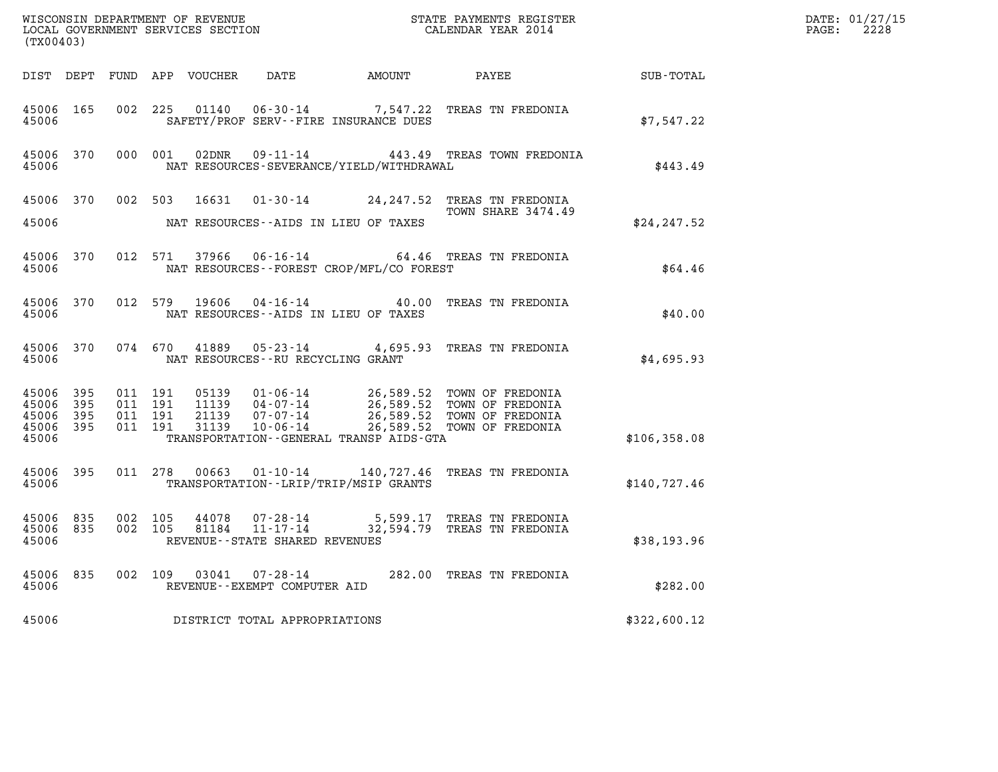| (TX00403)                                    |           |         |                                          |       |                                                     |                                             | $\tt WISCONSIM DEPARTMENT OF REVENUE$ $\tt WISCONSIMENT$ SERVICES SECTION $\tt WISCONERNMENT$ SERVICES SECTION $\tt CALENDAR$ YEAR 2014                                    |              | DATE: 01/27/15<br>$\mathtt{PAGE:}$<br>2228 |
|----------------------------------------------|-----------|---------|------------------------------------------|-------|-----------------------------------------------------|---------------------------------------------|----------------------------------------------------------------------------------------------------------------------------------------------------------------------------|--------------|--------------------------------------------|
|                                              |           |         |                                          |       |                                                     |                                             |                                                                                                                                                                            |              |                                            |
| 45006 165<br>45006                           |           |         | 002 225                                  |       |                                                     | SAFETY/PROF SERV--FIRE INSURANCE DUES       | 01140  06-30-14  7,547.22  TREAS TN FREDONIA                                                                                                                               | \$7,547.22   |                                            |
| 45006 370<br>45006                           |           |         | 000 001                                  | 02DNR |                                                     | NAT RESOURCES-SEVERANCE/YIELD/WITHDRAWAL    | 09-11-14 443.49 TREAS TOWN FREDONIA                                                                                                                                        | \$443.49     |                                            |
| 45006 370                                    |           |         |                                          |       |                                                     |                                             | 002 503 16631 01-30-14 24,247.52 TREAS TN FREDONIA<br>TOWN SHARE 3474.49                                                                                                   |              |                                            |
| 45006                                        |           |         |                                          |       |                                                     | NAT RESOURCES--AIDS IN LIEU OF TAXES        |                                                                                                                                                                            | \$24, 247.52 |                                            |
| 45006 370<br>45006                           |           |         | 012 571                                  | 37966 | $06 - 16 - 14$                                      | NAT RESOURCES - - FOREST CROP/MFL/CO FOREST | 64.46 TREAS TN FREDONIA                                                                                                                                                    | \$64.46      |                                            |
| 45006                                        | 45006 370 |         | 012 579                                  |       |                                                     | NAT RESOURCES--AIDS IN LIEU OF TAXES        | 19606  04-16-14  40.00 TREAS TN FREDONIA                                                                                                                                   | \$40.00      |                                            |
| 45006                                        | 45006 370 |         |                                          |       | NAT RESOURCES--RU RECYCLING GRANT                   |                                             | 074 670 41889 05-23-14 4,695.93 TREAS TN FREDONIA                                                                                                                          | \$4,695.93   |                                            |
| 45006 395<br>45006<br>45006 395<br>45006 395 | - 395     |         | 011 191<br>011 191<br>011 191<br>011 191 |       | 21139 07-07-14<br>31139 10-06-14                    |                                             | 05139  01-06-14  26,589.52  TOWN OF FREDONIA<br>11139  04-07-14  26,589.52  TOWN OF FREDONIA<br>21139  07-07-14  26,589.52  TOWN OF FREDONIA<br>26,589.52 TOWN OF FREDONIA |              |                                            |
| 45006                                        |           |         |                                          |       |                                                     | TRANSPORTATION--GENERAL TRANSP AIDS-GTA     |                                                                                                                                                                            | \$106,358.08 |                                            |
| 45006 395<br>45006                           |           |         |                                          |       |                                                     | TRANSPORTATION - - LRIP/TRIP/MSIP GRANTS    | 011  278  00663  01-10-14  140,727.46  TREAS TN FREDONIA                                                                                                                   | \$140,727.46 |                                            |
| 45006 835<br>45006                           | 45006 835 | 002 105 | 002 105                                  | 44078 | 81184 11-17-14<br>REVENUE - - STATE SHARED REVENUES |                                             | 07-28-14 5,599.17 TREAS TN FREDONIA<br>32,594.79 TREAS TN FREDONIA                                                                                                         | \$38,193.96  |                                            |
| 45006                                        | 45006 835 |         |                                          |       | REVENUE--EXEMPT COMPUTER AID                        |                                             | 002 109 03041 07-28-14 282.00 TREAS TN FREDONIA                                                                                                                            | \$282.00     |                                            |
| 45006                                        |           |         |                                          |       | DISTRICT TOTAL APPROPRIATIONS                       |                                             |                                                                                                                                                                            | \$322,600.12 |                                            |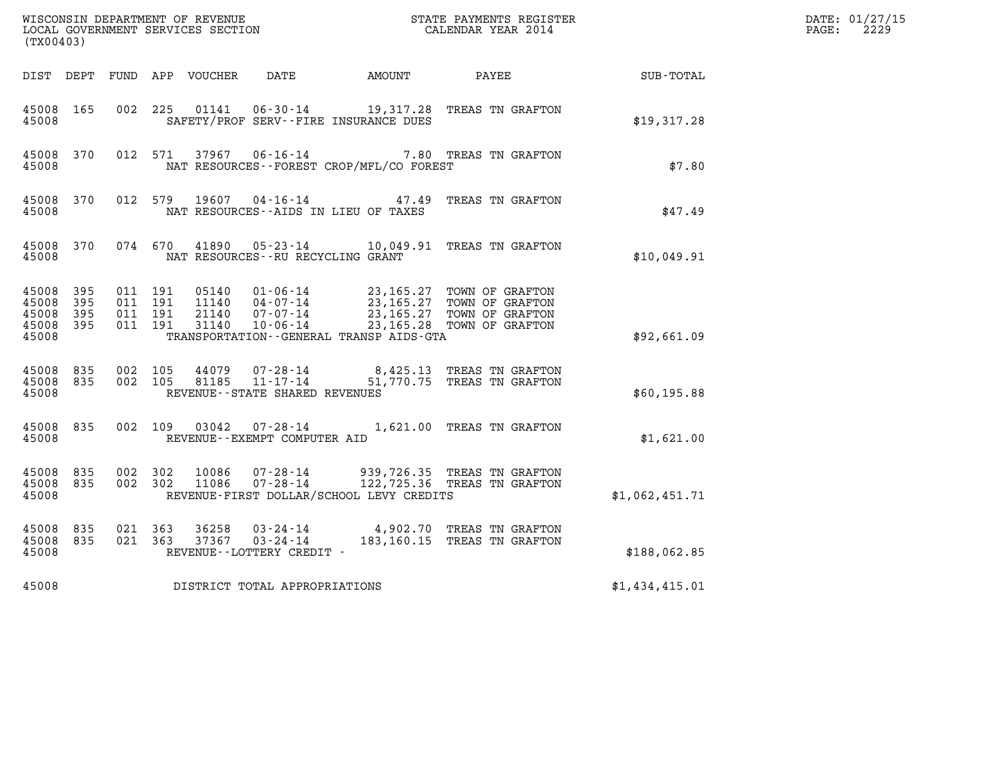| (TX00403)                                             |                        |                                          |       |                                      |                                              |                                                                                                                                                                                      |                  | DATE: 01/27/15<br>$\mathtt{PAGE:}$<br>2229 |
|-------------------------------------------------------|------------------------|------------------------------------------|-------|--------------------------------------|----------------------------------------------|--------------------------------------------------------------------------------------------------------------------------------------------------------------------------------------|------------------|--------------------------------------------|
|                                                       |                        |                                          |       |                                      | DIST DEPT FUND APP VOUCHER DATE AMOUNT PAYEE |                                                                                                                                                                                      | <b>SUB-TOTAL</b> |                                            |
| 45008 165<br>45008                                    |                        | 002 225                                  | 01141 |                                      | SAFETY/PROF SERV--FIRE INSURANCE DUES        | 06-30-14 19,317.28 TREAS TN GRAFTON                                                                                                                                                  | \$19,317.28      |                                            |
| 45008                                                 | 45008 370              |                                          |       |                                      | NAT RESOURCES--FOREST CROP/MFL/CO FOREST     | 012 571 37967 06-16-14 7.80 TREAS TN GRAFTON                                                                                                                                         | \$7.80           |                                            |
| 45008                                                 | 45008 370              |                                          |       |                                      | NAT RESOURCES--AIDS IN LIEU OF TAXES         | 012 579 19607 04-16-14 47.49 TREAS TN GRAFTON                                                                                                                                        | \$47.49          |                                            |
| 45008                                                 | 45008 370              |                                          |       | NAT RESOURCES - - RU RECYCLING GRANT |                                              | 074 670 41890 05-23-14 10,049.91 TREAS TN GRAFTON                                                                                                                                    | \$10,049.91      |                                            |
| 45008 395<br>45008 395<br>45008<br>45008 395<br>45008 | - 395                  | 011 191<br>011 191<br>011 191<br>011 191 |       |                                      | TRANSPORTATION--GENERAL TRANSP AIDS-GTA      | 05140  01-06-14  23,165.27 TOWN OF GRAFTON<br>11140  04-07-14  23,165.27 TOWN OF GRAFTON<br>21140  07-07-14  23,165.27 TOWN OF GRAFTON<br>31140  10-06-14  23,165.28 TOWN OF GRAFTON | \$92,661.09      |                                            |
| 45008                                                 | 45008 835              | 45008 835 002 105<br>002 105             |       | REVENUE--STATE SHARED REVENUES       |                                              | 44079  07-28-14  8,425.13  TREAS TN GRAFTON<br>81185  11-17-14  51,770.75  TREAS TN GRAFTON                                                                                          | \$60,195.88      |                                            |
| 45008                                                 | 45008 835              |                                          |       | REVENUE--EXEMPT COMPUTER AID         |                                              | 002 109 03042 07-28-14 1,621.00 TREAS TN GRAFTON                                                                                                                                     | \$1,621.00       |                                            |
| 45008                                                 | 45008 835<br>45008 835 | 002 302<br>002 302                       |       |                                      | REVENUE-FIRST DOLLAR/SCHOOL LEVY CREDITS     | 10086    07-28-14          939,726.35  TREAS TN GRAFTON<br>11086    07-28-14         122,725.36  TREAS TN GRAFTON                                                                    | \$1,062,451.71   |                                            |
| 45008 835<br>45008 835<br>45008                       |                        | 021 363<br>021 363                       |       | REVENUE--LOTTERY CREDIT -            |                                              | 36258  03-24-14  4,902.70 TREAS TN GRAFTON<br>37367  03-24-14  183,160.15 TREAS TN GRAFTON                                                                                           | \$188,062.85     |                                            |
| 45008                                                 |                        |                                          |       | DISTRICT TOTAL APPROPRIATIONS        |                                              |                                                                                                                                                                                      | \$1,434,415.01   |                                            |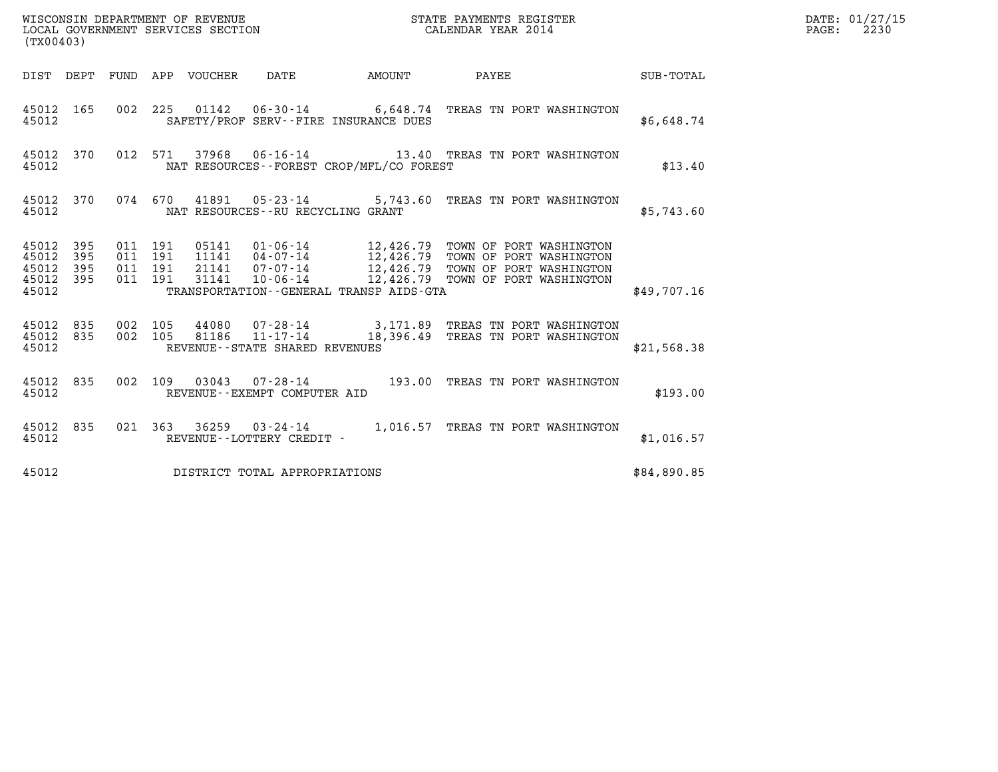| (TX00403)                                         |            |                                          |                                 |                                          |              |                                                                    |             | DATE: 01/27/15<br>$\mathtt{PAGE:}$<br>2230 |
|---------------------------------------------------|------------|------------------------------------------|---------------------------------|------------------------------------------|--------------|--------------------------------------------------------------------|-------------|--------------------------------------------|
|                                                   |            |                                          | DIST DEPT FUND APP VOUCHER DATE |                                          | AMOUNT PAYEE | <b>SUB-TOTAL</b>                                                   |             |                                            |
| 45012                                             |            |                                          |                                 | SAFETY/PROF SERV--FIRE INSURANCE DUES    |              | 45012 165 002 225 01142 06-30-14 6,648.74 TREAS TN PORT WASHINGTON | \$6,648.74  |                                            |
| 45012                                             |            |                                          |                                 | NAT RESOURCES--FOREST CROP/MFL/CO FOREST |              | 45012 370 012 571 37968 06-16-14 13.40 TREAS TN PORT WASHINGTON    | \$13.40     |                                            |
| 45012 370<br>45012                                |            |                                          |                                 | NAT RESOURCES--RU RECYCLING GRANT        |              | 074 670 41891 05-23-14 5,743.60 TREAS TN PORT WASHINGTON           | \$5,743.60  |                                            |
| 45012 395<br>45012<br>45012<br>45012 395<br>45012 | 395<br>395 | 011 191<br>011 191<br>011 191<br>011 191 |                                 | TRANSPORTATION--GENERAL TRANSP AIDS-GTA  |              |                                                                    | \$49,707.16 |                                            |
| 45012 835 002 105<br>45012 835<br>45012           |            |                                          |                                 | REVENUE - - STATE SHARED REVENUES        |              |                                                                    | \$21,568.38 |                                            |
| 45012                                             |            |                                          |                                 | REVENUE--EXEMPT COMPUTER AID             |              | 45012 835 002 109 03043 07-28-14 193.00 TREAS TN PORT WASHINGTON   | \$193.00    |                                            |
| 45012 835<br>45012                                |            |                                          |                                 | REVENUE--LOTTERY CREDIT -                |              | 021 363 36259 03-24-14 1,016.57 TREAS TN PORT WASHINGTON           | \$1,016.57  |                                            |
| 45012                                             |            |                                          |                                 | DISTRICT TOTAL APPROPRIATIONS            |              |                                                                    | \$84,890.85 |                                            |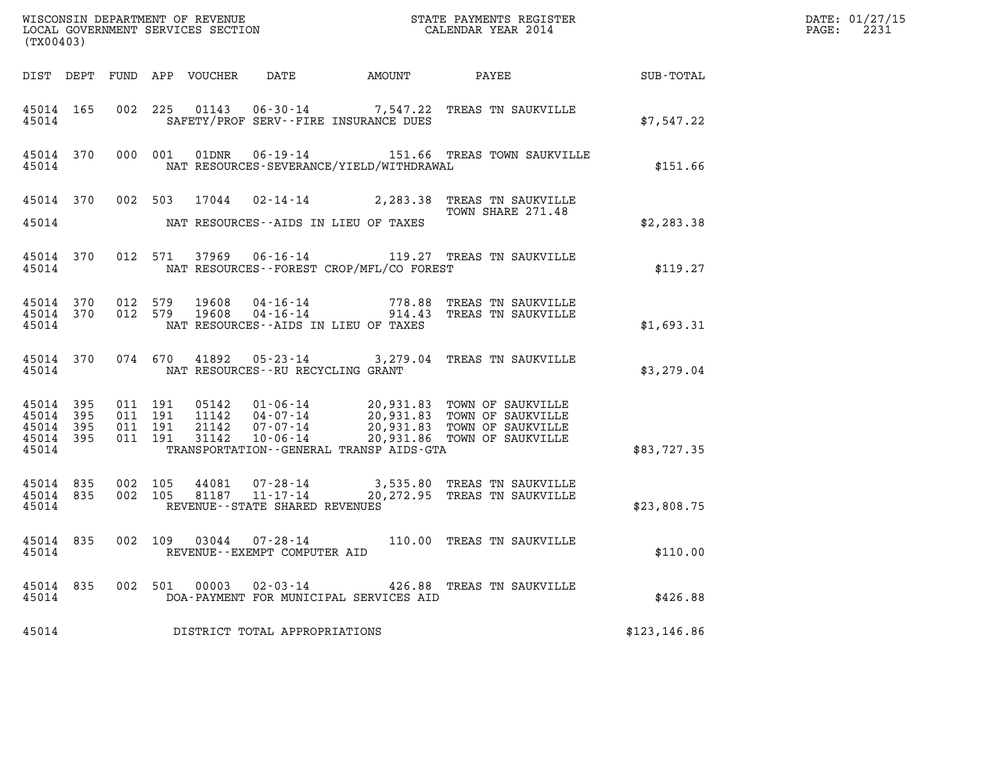| (TX00403)                                |                   |                                          |               |                                                          |  |                                                                                                                                                                                                                                                                                  |               | DATE: 01/27/15<br>2231<br>$\mathtt{PAGE:}$ |
|------------------------------------------|-------------------|------------------------------------------|---------------|----------------------------------------------------------|--|----------------------------------------------------------------------------------------------------------------------------------------------------------------------------------------------------------------------------------------------------------------------------------|---------------|--------------------------------------------|
|                                          |                   |                                          |               |                                                          |  |                                                                                                                                                                                                                                                                                  |               |                                            |
| 45014                                    |                   |                                          |               | SAFETY/PROF SERV--FIRE INSURANCE DUES                    |  | 45014 165 002 225 01143 06-30-14 7,547.22 TREAS TN SAUKVILLE                                                                                                                                                                                                                     | \$7,547.22    |                                            |
| 45014                                    |                   |                                          |               | NAT RESOURCES-SEVERANCE/YIELD/WITHDRAWAL                 |  | 45014 370 000 001 01DNR 06-19-14 151.66 TREAS TOWN SAUKVILLE                                                                                                                                                                                                                     | \$151.66      |                                            |
|                                          |                   |                                          |               |                                                          |  | 45014 370 002 503 17044 02-14-14 2,283.38 TREAS TN SAUKVILLE<br>TOWN SHARE 271.48<br>TOWN SHARE 271.48                                                                                                                                                                           |               |                                            |
|                                          |                   |                                          |               | 45014 NAT RESOURCES--AIDS IN LIEU OF TAXES               |  |                                                                                                                                                                                                                                                                                  | \$2,283.38    |                                            |
| 45014                                    |                   |                                          |               | NAT RESOURCES - - FOREST CROP/MFL/CO FOREST              |  | 45014 370 012 571 37969 06-16-14 119.27 TREAS TN SAUKVILLE                                                                                                                                                                                                                       | \$119.27      |                                            |
| 45014                                    |                   |                                          |               | NAT RESOURCES--AIDS IN LIEU OF TAXES                     |  | $\begin{array}{cccc} 45014 & 370 & 012 & 579 & 19608 & 04\text{-}16\text{-}14 & & & & 778.88 & \text{TREAS TN SAUKVILLE} \\ 45014 & 370 & 012 & 579 & 19608 & 04\text{-}16\text{-}14 & & & 914.43 & \text{TREAS TN SAUKVILLE} \end{array}$                                       | \$1,693.31    |                                            |
|                                          |                   |                                          |               | 45014 NAT RESOURCES--RU RECYCLING GRANT                  |  | 45014 370 074 670 41892 05-23-14 3,279.04 TREAS TN SAUKVILLE                                                                                                                                                                                                                     | \$3,279.04    |                                            |
| 45014 395<br>45014<br>45014 395<br>45014 | 395<br>45014 395  | 011 191<br>011 191<br>011 191<br>011 191 |               | TRANSPORTATION--GENERAL TRANSP AIDS-GTA                  |  | $\begin{tabular}{c c c c c c c c c} \hline 05142 & 01-06-14 & 20,931.83 & TOWN OF SAUKVILLE \\ 11142 & 04-07-14 & 20,931.83 & TOWN OF SAUKVILLE \\ 21142 & 07-07-14 & 20,931.83 & TOWN OF SAUKVILLE \\ 31142 & 10-06-14 & 20,931.86 & TOWN OF SAUKVILLE \\ \hline \end{tabular}$ | \$83,727.35   |                                            |
| 45014 835<br>45014                       | 45014 835 002 105 | 002 105                                  |               | REVENUE--STATE SHARED REVENUES                           |  | 44081  07-28-14  3,535.80 TREAS TN SAUKVILLE<br>81187  11-17-14  20,272.95 TREAS TN SAUKVILLE                                                                                                                                                                                    | \$23,808.75   |                                            |
| 45014                                    |                   |                                          |               | REVENUE - - EXEMPT COMPUTER AID                          |  | 45014 835 002 109 03044 07-28-14 110.00 TREAS TN SAUKVILLE                                                                                                                                                                                                                       | \$110.00      |                                            |
| 45014 835<br>45014                       |                   |                                          | 002 501 00003 | $02 - 03 - 14$<br>DOA-PAYMENT FOR MUNICIPAL SERVICES AID |  | 426.88 TREAS TN SAUKVILLE                                                                                                                                                                                                                                                        | \$426.88      |                                            |
| 45014                                    |                   |                                          |               | DISTRICT TOTAL APPROPRIATIONS                            |  |                                                                                                                                                                                                                                                                                  | \$123, 146.86 |                                            |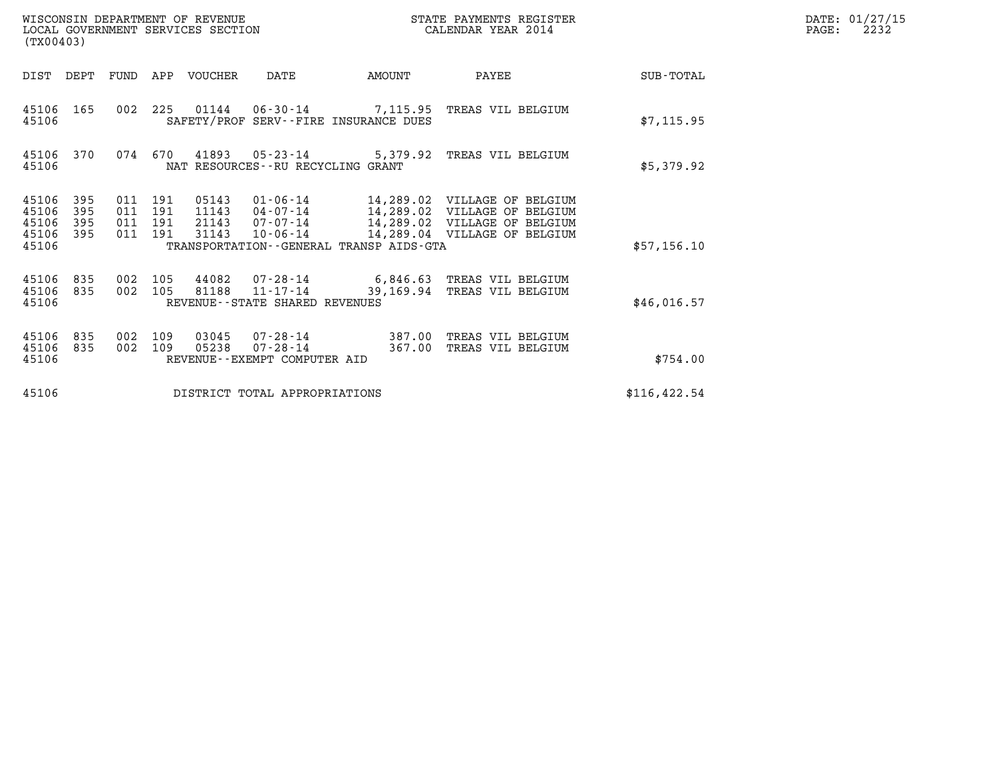| (TX00403)                                                             | WISCONSIN DEPARTMENT OF REVENUE<br>LOCAL GOVERNMENT SERVICES SECTION         |                                                                                                          |                  | STATE PAYMENTS REGISTER<br>CALENDAR YEAR 2014                                                                                |               | DATE: 01/27/15<br>$\mathtt{PAGE}$ :<br>2232 |
|-----------------------------------------------------------------------|------------------------------------------------------------------------------|----------------------------------------------------------------------------------------------------------|------------------|------------------------------------------------------------------------------------------------------------------------------|---------------|---------------------------------------------|
| DIST DEPT                                                             | FUND APP VOUCHER                                                             | DATE<br>AMOUNT                                                                                           |                  | PAYEE                                                                                                                        | SUB-TOTAL     |                                             |
| 45106 165<br>45106                                                    | 002 225                                                                      | 01144   06-30-14   7,115.95   TREAS VIL BELGIUM<br>SAFETY/PROF SERV--FIRE INSURANCE DUES                 |                  |                                                                                                                              | \$7,115.95    |                                             |
| 45106 370<br>45106                                                    | 074 670                                                                      | 41893 05-23-14 5,379.92<br>NAT RESOURCES--RU RECYCLING GRANT                                             |                  | TREAS VIL BELGIUM                                                                                                            | \$5,379.92    |                                             |
| 45106<br>395<br>45106<br>395<br>45106<br>395<br>395<br>45106<br>45106 | 011 191<br>05143<br>011 191<br>11143<br>011 191<br>21143<br>011 191<br>31143 | $01 - 06 - 14$<br>04-07-14<br>07-07-14<br>$10 - 06 - 14$<br>TRANSPORTATION - - GENERAL TRANSP AIDS - GTA |                  | 14,289.02 VILLAGE OF BELGIUM<br>14,289.02 VILLAGE OF BELGIUM<br>14,289.02 VILLAGE OF BELGIUM<br>14,289.04 VILLAGE OF BELGIUM | \$57,156.10   |                                             |
| 45106<br>835<br>45106<br>835<br>45106                                 | 002 105<br>44082<br>002 105<br>81188                                         | 07-28-14<br>$11 - 17 - 14$<br>REVENUE--STATE SHARED REVENUES                                             |                  | 6,846.63 TREAS VIL BELGIUM<br>39,169.94 TREAS VIL BELGIUM                                                                    | \$46,016.57   |                                             |
| 45106<br>835<br>835<br>45106<br>45106                                 | 002<br>109<br>03045<br>002 109<br>05238                                      | 07-28-14<br>07-28-14<br>REVENUE--EXEMPT COMPUTER AID                                                     | 387.00<br>367.00 | TREAS VIL BELGIUM<br>TREAS VIL BELGIUM                                                                                       | \$754.00      |                                             |
| 45106                                                                 |                                                                              | DISTRICT TOTAL APPROPRIATIONS                                                                            |                  |                                                                                                                              | \$116, 422.54 |                                             |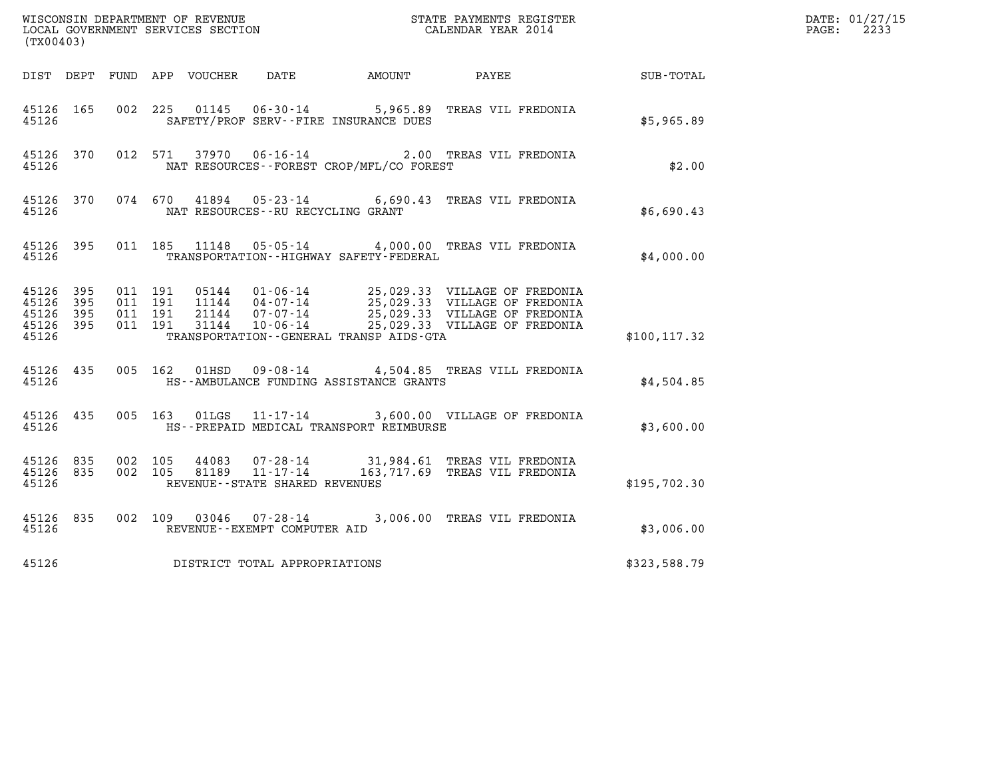| (TX00403)                                                 |                    |                    |                                   |                                              | %WISCONSIN DEPARTMENT OF REVENUE $$\tt STATE$ PAYMENTS REGISTER LOCAL GOVERNMENT SERVICES SECTION $$\tt CALEINDAR$ YEAR 2014                                                                             |               | DATE: 01/27/15<br>$\mathtt{PAGE:}$<br>2233 |
|-----------------------------------------------------------|--------------------|--------------------|-----------------------------------|----------------------------------------------|----------------------------------------------------------------------------------------------------------------------------------------------------------------------------------------------------------|---------------|--------------------------------------------|
|                                                           |                    |                    |                                   |                                              | DIST DEPT FUND APP VOUCHER DATE AMOUNT PAYEE                                                                                                                                                             | SUB-TOTAL     |                                            |
| 45126 165<br>45126                                        |                    |                    |                                   | SAFETY/PROF SERV--FIRE INSURANCE DUES        | 002 225 01145 06-30-14 5,965.89 TREAS VIL FREDONIA                                                                                                                                                       | \$5,965.89    |                                            |
| 45126 370<br>45126                                        |                    |                    |                                   | NAT RESOURCES--FOREST CROP/MFL/CO FOREST     | 012 571 37970 06-16-14 2.00 TREAS VIL FREDONIA                                                                                                                                                           | \$2.00        |                                            |
| 45126 370<br>45126                                        |                    |                    | NAT RESOURCES--RU RECYCLING GRANT |                                              | 074 670 41894 05-23-14 6,690.43 TREAS VIL FREDONIA                                                                                                                                                       | \$6,690.43    |                                            |
| 45126 395<br>45126                                        |                    |                    |                                   | TRANSPORTATION - - HIGHWAY SAFETY - FEDERAL  | 011 185 11148 05-05-14 4,000.00 TREAS VIL FREDONIA                                                                                                                                                       | \$4,000.00    |                                            |
| 45126 395<br>45126 395<br>45126 395<br>45126 395<br>45126 | 011 191<br>011 191 | 011 191<br>011 191 |                                   | TRANSPORTATION - - GENERAL TRANSP AIDS - GTA | 05144  01-06-14  25,029.33  VILLAGE OF FREDONIA<br>11144  04-07-14  25,029.33  VILLAGE OF FREDONIA<br>21144  07-07-14  25,029.33  VILLAGE OF FREDONIA<br>31144  10-06-14  25,029.33  VILLAGE OF FREDONIA | \$100, 117.32 |                                            |
| 45126 435<br>45126                                        |                    |                    |                                   | HS--AMBULANCE FUNDING ASSISTANCE GRANTS      | 005 162 01HSD 09-08-14 4,504.85 TREAS VILL FREDONIA                                                                                                                                                      | \$4,504.85    |                                            |
| 45126 435<br>45126                                        |                    |                    |                                   | HS--PREPAID MEDICAL TRANSPORT REIMBURSE      | 005 163 01LGS 11-17-14 3,600.00 VILLAGE OF FREDONIA                                                                                                                                                      | \$3,600.00    |                                            |
| 45126 835<br>45126 835<br>45126                           | 002 105<br>002 105 |                    | REVENUE - - STATE SHARED REVENUES |                                              | 44083  07-28-14  31,984.61  TREAS VIL FREDONIA<br>81189  11-17-14  163,717.69  TREAS VIL FREDONIA                                                                                                        | \$195,702.30  |                                            |
| 45126 835<br>45126                                        |                    |                    | REVENUE--EXEMPT COMPUTER AID      |                                              | 002 109 03046 07-28-14 3,006.00 TREAS VIL FREDONIA                                                                                                                                                       | \$3,006.00    |                                            |
| 45126                                                     |                    |                    | DISTRICT TOTAL APPROPRIATIONS     |                                              |                                                                                                                                                                                                          | \$323,588.79  |                                            |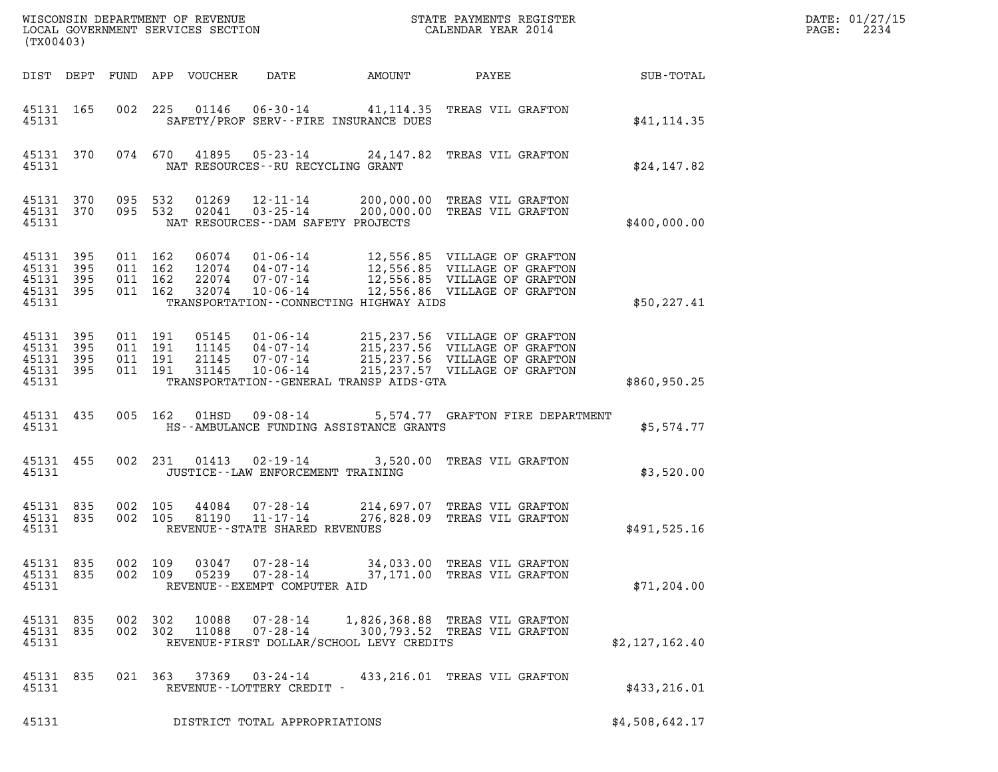| DATE: | 01/27/15 |
|-------|----------|
| PAGE: | 2234     |

| (TX00403)                                             |                   |     |                                          |                                  |                                                               |                                                                                             |                                                                                                                                   |                | DATE: 01/27/15<br>2234<br>$\mathtt{PAGE}$ : |
|-------------------------------------------------------|-------------------|-----|------------------------------------------|----------------------------------|---------------------------------------------------------------|---------------------------------------------------------------------------------------------|-----------------------------------------------------------------------------------------------------------------------------------|----------------|---------------------------------------------|
|                                                       |                   |     |                                          | DIST DEPT FUND APP VOUCHER       | DATE                                                          | AMOUNT                                                                                      | PAYEE                                                                                                                             | SUB-TOTAL      |                                             |
| 45131 165<br>45131                                    |                   |     |                                          |                                  |                                                               | 002 225 01146 06-30-14 41,114.35 TREAS VIL GRAFTON<br>SAFETY/PROF SERV--FIRE INSURANCE DUES |                                                                                                                                   | \$41, 114.35   |                                             |
| 45131                                                 | 45131 370         |     |                                          |                                  |                                                               | 074 670 41895 05-23-14 24,147.82 TREAS VIL GRAFTON<br>NAT RESOURCES -- RU RECYCLING GRANT   |                                                                                                                                   | \$24,147.82    |                                             |
| 45131 370<br>45131                                    | 45131 370 095 532 |     | 095 532                                  | 01269<br>02041                   | $12 - 11 - 14$                                                | 03-25-14 200,000.00 TREAS VIL GRAFTON<br>NAT RESOURCES - - DAM SAFETY PROJECTS              | 200,000.00 TREAS VIL GRAFTON                                                                                                      | \$400,000.00   |                                             |
| 45131 395<br>45131 395<br>45131<br>45131 395<br>45131 | 395               |     | 011 162<br>011 162<br>011 162<br>011 162 | 32074                            | 10-06-14                                                      | TRANSPORTATION--CONNECTING HIGHWAY AIDS                                                     | 12,556.86 VILLAGE OF GRAFTON                                                                                                      | \$50, 227.41   |                                             |
| 45131 395<br>45131<br>45131 395<br>45131 395<br>45131 | 395               |     | 011 191<br>011 191<br>011 191<br>011 191 | 05145<br>11145<br>21145<br>31145 | 01 - 06 - 14<br>04 - 07 - 14<br>07 - 07 - 14<br>10-06-14      | TRANSPORTATION - - GENERAL TRANSP AIDS - GTA                                                | 215,237.56 VILLAGE OF GRAFTON<br>215,237.56 VILLAGE OF GRAFTON<br>215,237.56 VILLAGE OF GRAFTON<br>215, 237.57 VILLAGE OF GRAFTON | \$860,950.25   |                                             |
| 45131 435<br>45131                                    |                   |     | 005 162                                  | 01HSD                            |                                                               | 09-08-14 5,574.77 GRAFTON FIRE DEPARTMENT<br>HS--AMBULANCE FUNDING ASSISTANCE GRANTS        |                                                                                                                                   | \$5,574.77     |                                             |
| 45131 455<br>45131                                    |                   |     | 002 231                                  | 01413                            | $02 - 19 - 14$                                                | JUSTICE - - LAW ENFORCEMENT TRAINING                                                        | 3,520.00 TREAS VIL GRAFTON                                                                                                        | \$3,520.00     |                                             |
| 45131 835<br>45131 835<br>45131                       |                   |     | 002 105<br>002 105                       | 44084<br>81190                   | $07 - 28 - 14$<br>11-17-14<br>REVENUE--STATE SHARED REVENUES  |                                                                                             | 214,697.07 TREAS VIL GRAFTON<br>276,828.09 TREAS VIL GRAFTON                                                                      | \$491,525.16   |                                             |
| 45131 835<br>45131 835<br>45131                       |                   |     | 002 109<br>002 109                       | 03047<br>05239                   | 07-28-14<br>$07 - 28 - 14$<br>REVENUE - - EXEMPT COMPUTER AID |                                                                                             | 34,033.00 TREAS VIL GRAFTON<br>37,171.00 TREAS VIL GRAFTON                                                                        | \$71, 204.00   |                                             |
| 45131 835<br>45131 835<br>45131                       |                   | 002 | 302<br>002 302                           | 10088<br>11088                   | $07 - 28 - 14$<br>$07 - 28 - 14$                              | REVENUE-FIRST DOLLAR/SCHOOL LEVY CREDITS                                                    | 1,826,368.88 TREAS VIL GRAFTON<br>300,793.52 TREAS VIL GRAFTON                                                                    | \$2,127,162.40 |                                             |
| 45131 835<br>45131                                    |                   |     | 021 363                                  | 37369                            | 03-24-14<br>REVENUE--LOTTERY CREDIT -                         |                                                                                             | 433, 216.01 TREAS VIL GRAFTON                                                                                                     | \$433, 216.01  |                                             |
| 45131                                                 |                   |     |                                          |                                  | DISTRICT TOTAL APPROPRIATIONS                                 |                                                                                             |                                                                                                                                   | \$4,508,642.17 |                                             |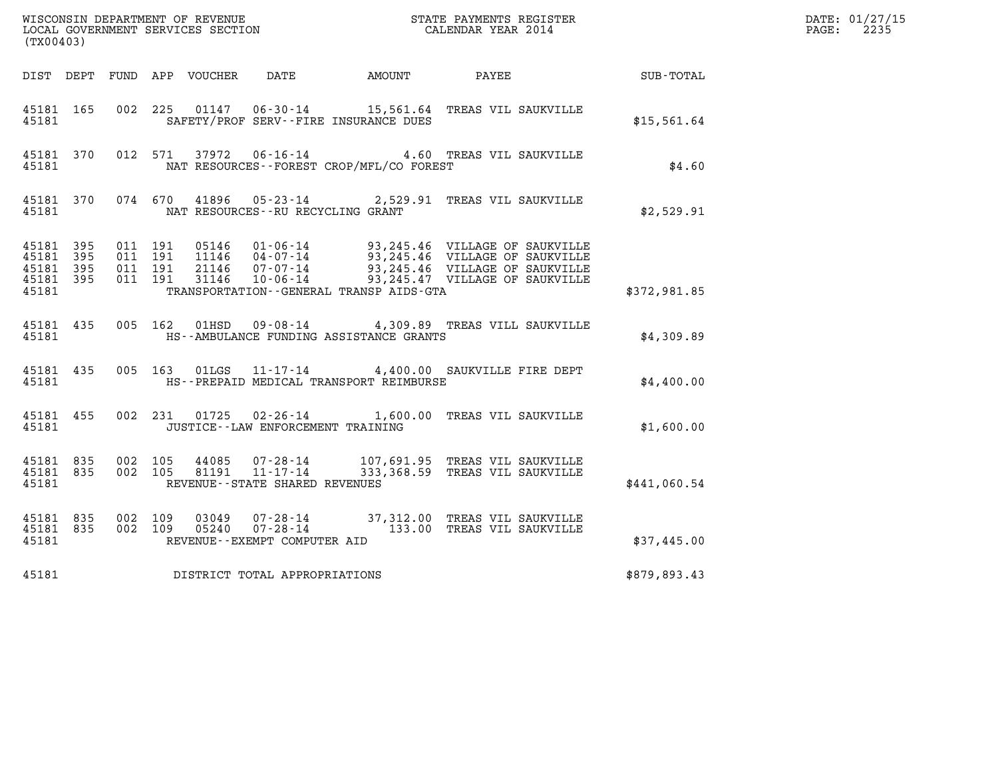|                                     |           |                               |  |                                      |                                              |                                                                                                                                                                                                              | DATE: 01/27/15 |                          |
|-------------------------------------|-----------|-------------------------------|--|--------------------------------------|----------------------------------------------|--------------------------------------------------------------------------------------------------------------------------------------------------------------------------------------------------------------|----------------|--------------------------|
| (TX00403)                           |           |                               |  |                                      |                                              |                                                                                                                                                                                                              |                | $\mathtt{PAGE:}$<br>2235 |
|                                     |           |                               |  |                                      |                                              | DIST DEPT FUND APP VOUCHER DATE AMOUNT PAYEE PAYER SUB-TOTAL                                                                                                                                                 |                |                          |
| 45181 165<br>45181                  |           |                               |  |                                      | SAFETY/PROF SERV--FIRE INSURANCE DUES        | 002 225 01147 06-30-14 15,561.64 TREAS VIL SAUKVILLE                                                                                                                                                         | \$15,561.64    |                          |
| 45181                               | 45181 370 |                               |  |                                      | NAT RESOURCES - - FOREST CROP/MFL/CO FOREST  | 012 571 37972 06-16-14 4.60 TREAS VIL SAUKVILLE                                                                                                                                                              | \$4.60         |                          |
|                                     |           | 45181                         |  | NAT RESOURCES - - RU RECYCLING GRANT |                                              | 45181 370 074 670 41896 05-23-14 2,529.91 TREAS VIL SAUKVILLE                                                                                                                                                | \$2,529.91     |                          |
| 45181 395<br>45181 395<br>45181 395 |           | 011 191<br>011 191<br>011 191 |  |                                      |                                              | 05146  01-06-14  93,245.46  VILLAGE OF SAUKVILLE<br>11146  04-07-14  93,245.46  VILLAGE OF SAUKVILLE<br>21146  07-07-14  93,245.46  VILLAGE OF SAUKVILLE<br>31146  10-06-14  93,245.47  VILLAGE OF SAUKVILLE |                |                          |
| 45181                               | 45181 395 | 011 191                       |  |                                      | TRANSPORTATION - - GENERAL TRANSP AIDS - GTA |                                                                                                                                                                                                              | \$372,981.85   |                          |
| 45181                               |           |                               |  |                                      | HS--AMBULANCE FUNDING ASSISTANCE GRANTS      | 45181 435 005 162 01HSD 09-08-14 4,309.89 TREAS VILL SAUKVILLE                                                                                                                                               | \$4,309.89     |                          |
| 45181                               |           |                               |  |                                      | HS--PREPAID MEDICAL TRANSPORT REIMBURSE      | 45181 435 005 163 01LGS 11-17-14 4,400.00 SAUKVILLE FIRE DEPT                                                                                                                                                | \$4,400.00     |                          |
| 45181                               | 45181 455 |                               |  | JUSTICE -- LAW ENFORCEMENT TRAINING  |                                              | 002 231 01725 02-26-14 1,600.00 TREAS VIL SAUKVILLE                                                                                                                                                          | \$1,600.00     |                          |
| 45181                               | 45181 835 | 45181 835 002 105<br>002 105  |  | REVENUE--STATE SHARED REVENUES       |                                              | 44085    07-28-14          107,691.95   TREAS VIL SAUKVILLE<br>81191   11-17-14          333,368.59   TREAS VIL SAUKVILLE                                                                                    | \$441,060.54   |                          |
| 45181 835<br>45181                  | 45181 835 | 002 109<br>002 109            |  | REVENUE--EXEMPT COMPUTER AID         |                                              |                                                                                                                                                                                                              | \$37,445.00    |                          |
| 45181                               |           |                               |  | DISTRICT TOTAL APPROPRIATIONS        |                                              |                                                                                                                                                                                                              | \$879,893.43   |                          |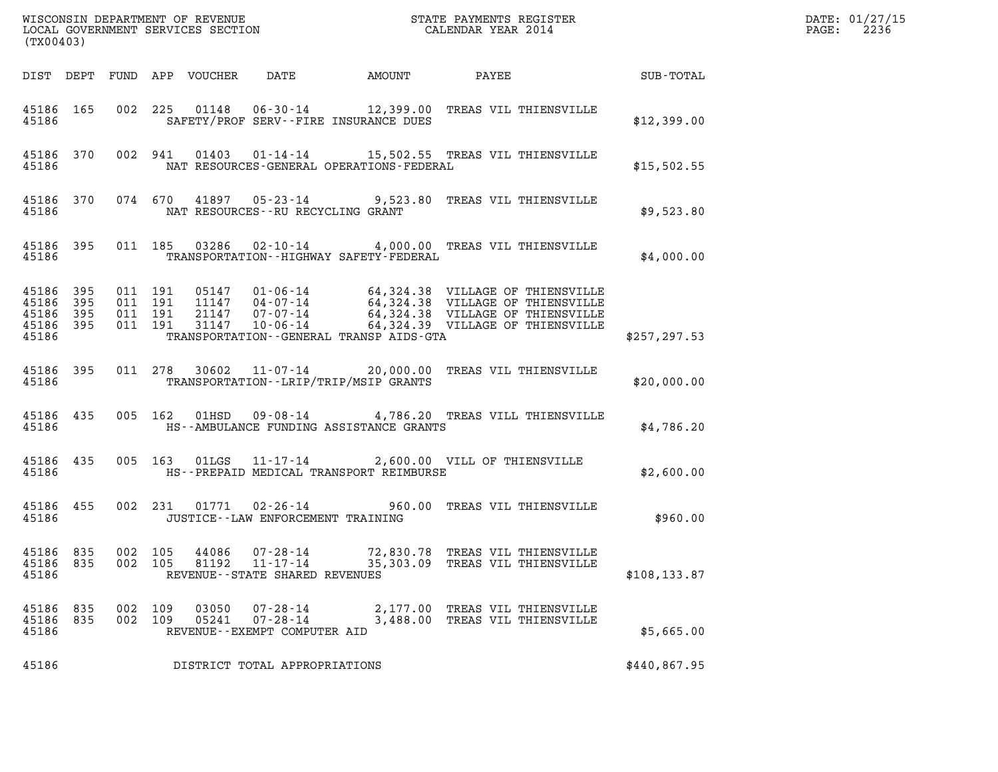| (TX00403)                                                     |     |                    |         |                            |                                                                       |               |                                                                                                                                                                                                          |               | DATE: 01/27/15<br>2236<br>$\mathtt{PAGE:}$ |
|---------------------------------------------------------------|-----|--------------------|---------|----------------------------|-----------------------------------------------------------------------|---------------|----------------------------------------------------------------------------------------------------------------------------------------------------------------------------------------------------------|---------------|--------------------------------------------|
|                                                               |     |                    |         | DIST DEPT FUND APP VOUCHER | DATE                                                                  | <b>AMOUNT</b> | PAYEE SUB-TOTAL                                                                                                                                                                                          |               |                                            |
| 45186 165<br>45186                                            |     |                    |         |                            | SAFETY/PROF SERV--FIRE INSURANCE DUES                                 |               | 002 225 01148 06-30-14 12,399.00 TREAS VIL THIENSVILLE                                                                                                                                                   | \$12,399.00   |                                            |
| 45186                                                         |     |                    |         |                            | NAT RESOURCES-GENERAL OPERATIONS-FEDERAL                              |               | 45186 370 002 941 01403 01-14-14 15,502.55 TREAS VIL THIENSVILLE                                                                                                                                         | \$15,502.55   |                                            |
| 45186                                                         |     |                    |         |                            | NAT RESOURCES--RU RECYCLING GRANT                                     |               | 45186 370 074 670 41897 05-23-14 9,523.80 TREAS VIL THIENSVILLE                                                                                                                                          | \$9,523.80    |                                            |
| 45186                                                         |     |                    |         |                            | TRANSPORTATION - - HIGHWAY SAFETY - FEDERAL                           |               | 45186 395 011 185 03286 02-10-14 4,000.00 TREAS VIL THIENSVILLE                                                                                                                                          | \$4,000.00    |                                            |
| 45186 395 011 191<br>45186<br>45186 395<br>45186 395<br>45186 | 395 | 011 191<br>011 191 | 011 191 |                            | TRANSPORTATION - - GENERAL TRANSP AIDS - GTA                          |               | 05147 01-06-14 64,324.38 VILLAGE OF THIENSVILLE<br>11147 04-07-14 64,324.38 VILLAGE OF THIENSVILLE<br>21147 07-07-14 64,324.38 VILLAGE OF THIENSVILLE<br>31147 10-06-14 64,324.39 VILLAGE OF THIENSVILLE | \$257, 297.53 |                                            |
| 45186 395<br>45186                                            |     |                    |         |                            | TRANSPORTATION--LRIP/TRIP/MSIP GRANTS                                 |               | 011 278 30602 11-07-14 20,000.00 TREAS VIL THIENSVILLE                                                                                                                                                   | \$20,000.00   |                                            |
| 45186 435<br>45186                                            |     |                    |         |                            | HS--AMBULANCE FUNDING ASSISTANCE GRANTS                               |               | 005 162 01HSD 09-08-14 4,786.20 TREAS VILL THIENSVILLE                                                                                                                                                   | \$4,786.20    |                                            |
| 45186 435<br>45186                                            |     |                    |         |                            | HS--PREPAID MEDICAL TRANSPORT REIMBURSE                               |               | 005 163 01LGS 11-17-14 2,600.00 VILL OF THIENSVILLE                                                                                                                                                      | \$2,600.00    |                                            |
| 45186 455<br>45186                                            |     |                    |         |                            | JUSTICE -- LAW ENFORCEMENT TRAINING                                   |               | 002 231 01771 02-26-14 960.00 TREAS VIL THIENSVILLE                                                                                                                                                      | \$960.00      |                                            |
| 45186 835<br>45186 835<br>45186                               |     | 002 105<br>002 105 |         | 44086<br>81192             | $07 - 28 - 14$<br>$11 - 17 - 14$<br>REVENUE - - STATE SHARED REVENUES |               | 72,830.78 TREAS VIL THIENSVILLE<br>35,303.09 TREAS VIL THIENSVILLE                                                                                                                                       | \$108, 133.87 |                                            |
| 45186 835<br>45186 835<br>45186                               |     | 002 109<br>002 109 |         | 03050<br>05241             | 07-28-14<br>07-28-14<br>REVENUE--EXEMPT COMPUTER AID                  |               | 2,177.00 TREAS VIL THIENSVILLE<br>3,488.00 TREAS VIL THIENSVILLE                                                                                                                                         | \$5,665.00    |                                            |
| 45186                                                         |     |                    |         |                            | DISTRICT TOTAL APPROPRIATIONS                                         |               |                                                                                                                                                                                                          | \$440,867.95  |                                            |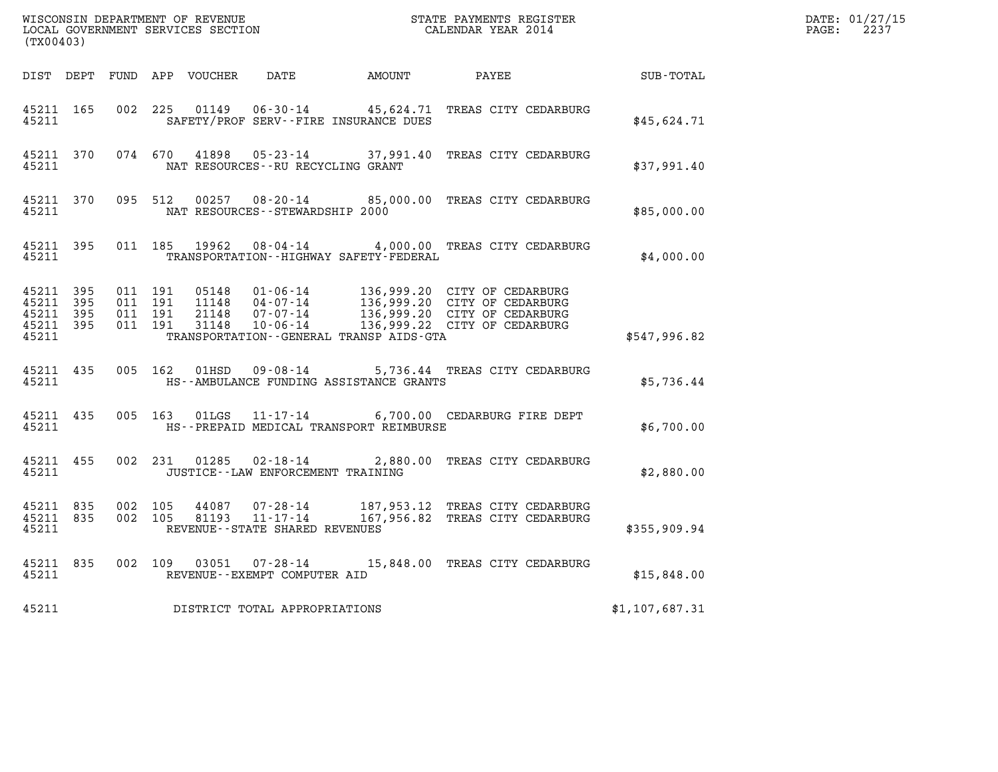| (TX00403)                                                 |                    |                                          |               |                                             |                                                                                                                                                                                                      |                | DATE: 01/27/15<br>$\mathtt{PAGE:}$<br>2237 |
|-----------------------------------------------------------|--------------------|------------------------------------------|---------------|---------------------------------------------|------------------------------------------------------------------------------------------------------------------------------------------------------------------------------------------------------|----------------|--------------------------------------------|
|                                                           |                    |                                          |               |                                             | DIST DEPT FUND APP VOUCHER DATE AMOUNT PAYEE                                                                                                                                                         | SUB-TOTAL      |                                            |
| 45211                                                     | 45211 165          |                                          |               | SAFETY/PROF SERV--FIRE INSURANCE DUES       | 002 225 01149 06-30-14 45,624.71 TREAS CITY CEDARBURG                                                                                                                                                | \$45,624.71    |                                            |
| 45211                                                     | 45211 370          |                                          |               | NAT RESOURCES--RU RECYCLING GRANT           | 074 670 41898 05-23-14 37,991.40 TREAS CITY CEDARBURG                                                                                                                                                | \$37,991.40    |                                            |
| 45211                                                     | 45211 370          |                                          |               | NAT RESOURCES--STEWARDSHIP 2000             | 095 512 00257 08-20-14 85,000.00 TREAS CITY CEDARBURG                                                                                                                                                | \$85,000.00    |                                            |
|                                                           | 45211              |                                          |               | TRANSPORTATION - - HIGHWAY SAFETY - FEDERAL | 45211 395 011 185 19962 08-04-14 4,000.00 TREAS CITY CEDARBURG                                                                                                                                       | \$4,000.00     |                                            |
| 45211 395<br>45211 395<br>45211 395<br>45211 395<br>45211 |                    | 011 191<br>011 191<br>011 191<br>011 191 |               | TRANSPORTATION--GENERAL TRANSP AIDS-GTA     | 05148  01-06-14  136,999.20  CITY OF CEDARBURG<br>11148  04-07-14  136,999.20  CITY OF CEDARBURG<br>21148  07-07-14  136,999.20  CITY OF CEDARBURG<br>31148  10-06-14  136,999.22  CITY OF CEDARBURG | \$547,996.82   |                                            |
| 45211 435<br>45211                                        |                    |                                          | 005 162 01HSD | HS--AMBULANCE FUNDING ASSISTANCE GRANTS     | 09-08-14 5,736.44 TREAS CITY CEDARBURG                                                                                                                                                               | \$5,736.44     |                                            |
|                                                           | 45211 435<br>45211 |                                          |               | HS--PREPAID MEDICAL TRANSPORT REIMBURSE     | 005 163 01LGS 11-17-14 6,700.00 CEDARBURG FIRE DEPT                                                                                                                                                  | \$6,700.00     |                                            |
| 45211                                                     | 45211 455          |                                          |               | JUSTICE - - LAW ENFORCEMENT TRAINING        | 002  231  01285  02-18-14  2,880.00 TREAS CITY CEDARBURG                                                                                                                                             | \$2,880.00     |                                            |
| 45211 835<br>45211                                        | 45211 835          |                                          |               | REVENUE--STATE SHARED REVENUES              | 002 105 44087 07-28-14 187,953.12 TREAS CITY CEDARBURG<br>002 105 81193 11-17-14 167,956.82 TREAS CITY CEDARBURG                                                                                     | \$355,909.94   |                                            |
| 45211                                                     | 45211 835          |                                          |               | REVENUE--EXEMPT COMPUTER AID                | 002 109 03051 07-28-14 15,848.00 TREAS CITY CEDARBURG                                                                                                                                                | \$15,848.00    |                                            |
| 45211                                                     |                    |                                          |               | DISTRICT TOTAL APPROPRIATIONS               |                                                                                                                                                                                                      | \$1,107,687.31 |                                            |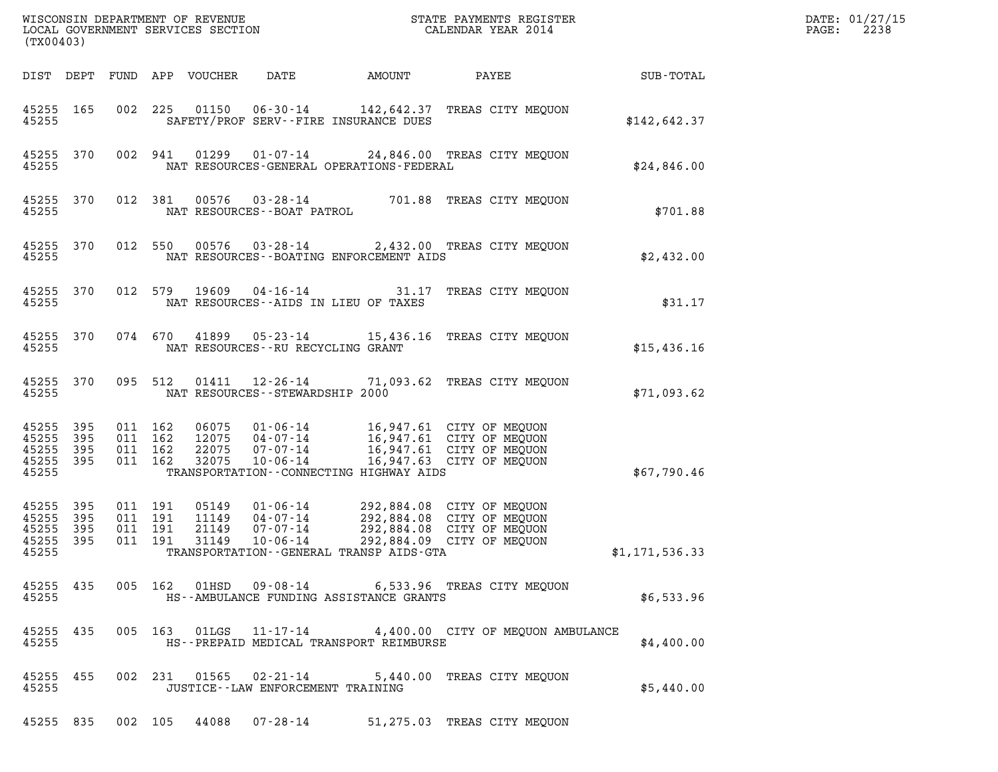| (TX00403)                                         |                   |                                          |         |                                  | WISCONSIN DEPARTMENT OF REVENUE<br>LOCAL GOVERNMENT SERVICES SECTION |                                            | STATE PAYMENTS REGISTER<br>CALENDAR YEAR 2014                                                                    |                | DATE: 01/27/15<br>2238<br>PAGE: |
|---------------------------------------------------|-------------------|------------------------------------------|---------|----------------------------------|----------------------------------------------------------------------|--------------------------------------------|------------------------------------------------------------------------------------------------------------------|----------------|---------------------------------|
|                                                   |                   |                                          |         | DIST DEPT FUND APP VOUCHER       | DATE                                                                 | AMOUNT                                     | PAYEE                                                                                                            | SUB-TOTAL      |                                 |
| 45255 165<br>45255                                |                   |                                          | 002 225 |                                  | 01150   06-30-14                                                     | SAFETY/PROF SERV--FIRE INSURANCE DUES      | 142,642.37 TREAS CITY MEQUON                                                                                     | \$142,642.37   |                                 |
| 45255 370<br>45255                                |                   |                                          | 002 941 | 01299                            |                                                                      | NAT RESOURCES-GENERAL OPERATIONS-FEDERAL   | 01-07-14 24,846.00 TREAS CITY MEQUON                                                                             | \$24,846.00    |                                 |
| 45255 370<br>45255                                |                   |                                          | 012 381 | 00576                            | NAT RESOURCES - - BOAT PATROL                                        |                                            | 03-28-14 701.88 TREAS CITY MEQUON                                                                                | \$701.88       |                                 |
| 45255 370<br>45255                                |                   |                                          | 012 550 | 00576                            | $03 - 28 - 14$                                                       | NAT RESOURCES - - BOATING ENFORCEMENT AIDS | 2,432.00 TREAS CITY MEQUON                                                                                       | \$2,432.00     |                                 |
| 45255 370<br>45255                                |                   |                                          | 012 579 | 19609                            | $04 - 16 - 14$                                                       | NAT RESOURCES -- AIDS IN LIEU OF TAXES     | 31.17 TREAS CITY MEQUON                                                                                          | \$31.17        |                                 |
| 45255 370<br>45255                                |                   |                                          | 074 670 | 41899                            | 05-23-14<br>NAT RESOURCES -- RU RECYCLING GRANT                      |                                            | 15,436.16 TREAS CITY MEQUON                                                                                      | \$15,436.16    |                                 |
| 45255 370<br>45255                                |                   |                                          | 095 512 | 01411                            | $12 - 26 - 14$<br>NAT RESOURCES - - STEWARDSHIP 2000                 |                                            | 71,093.62 TREAS CITY MEQUON                                                                                      | \$71,093.62    |                                 |
| 45255 395<br>45255<br>45255<br>45255 395<br>45255 | 395<br>395        | 011 162<br>011 162<br>011 162<br>011 162 |         | 06075<br>12075<br>22075<br>32075 | 01-06-14<br>04-07-14<br>07-07-14<br>$10 - 06 - 14$                   | TRANSPORTATION--CONNECTING HIGHWAY AIDS    | 16,947.61 CITY OF MEQUON<br>16,947.61 CITY OF MEQUON<br>16,947.61 CITY OF MEQUON<br>16,947.63 CITY OF MEQUON     | \$67,790.46    |                                 |
| 45255 395<br>45255<br>45255<br>45255<br>45255     | 395<br>395<br>395 | 011 191<br>011 191<br>011 191<br>011 191 |         | 05149<br>11149<br>21149<br>31149 | $01 - 06 - 14$<br>$04 - 07 - 14$<br>07-07-14<br>$10 - 06 - 14$       | TRANSPORTATION--GENERAL TRANSP AIDS-GTA    | 292,884.08 CITY OF MEQUON<br>292,884.08 CITY OF MEQUON<br>292,884.08 CITY OF MEOUON<br>292,884.09 CITY OF MEQUON | \$1,171,536.33 |                                 |
| 45255                                             |                   |                                          |         |                                  |                                                                      | HS--AMBULANCE FUNDING ASSISTANCE GRANTS    | 45255 435 005 162 01HSD 09-08-14 6,533.96 TREAS CITY MEQUON                                                      | \$6,533.96     |                                 |
| 45255                                             |                   |                                          |         |                                  |                                                                      | HS--PREPAID MEDICAL TRANSPORT REIMBURSE    | 45255 435 005 163 01LGS 11-17-14 4,400.00 CITY OF MEQUON AMBULANCE                                               | \$4,400.00     |                                 |
| 45255                                             |                   |                                          |         |                                  | JUSTICE -- LAW ENFORCEMENT TRAINING                                  |                                            | 45255 455 002 231 01565 02-21-14 5,440.00 TREAS CITY MEQUON                                                      | \$5,440.00     |                                 |
|                                                   |                   |                                          |         |                                  |                                                                      |                                            | 45255 835 002 105 44088 07-28-14 51,275.03 TREAS CITY MEQUON                                                     |                |                                 |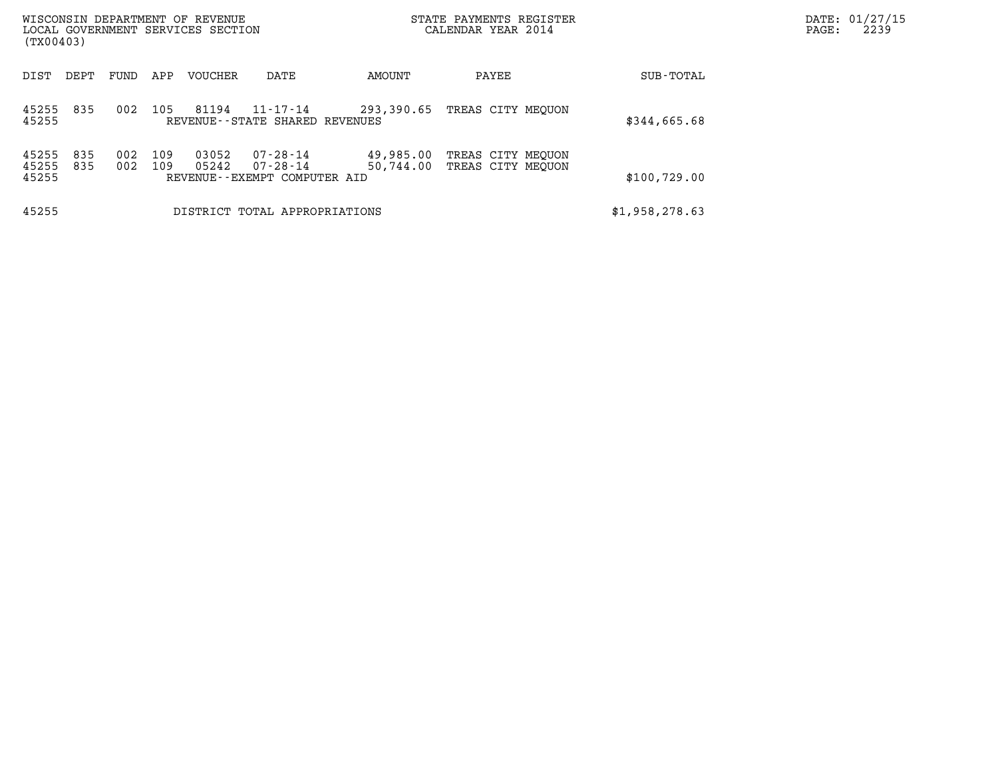| (TX00403)               |            |            |            | WISCONSIN DEPARTMENT OF REVENUE<br>LOCAL GOVERNMENT SERVICES SECTION |                                                                  |                        | STATE PAYMENTS REGISTER<br>CALENDAR YEAR 2014 | DATE: 01/27/15<br>2239<br>PAGE: |  |
|-------------------------|------------|------------|------------|----------------------------------------------------------------------|------------------------------------------------------------------|------------------------|-----------------------------------------------|---------------------------------|--|
| DIST                    | DEPT       | FUND       | APP        | <b>VOUCHER</b>                                                       | DATE                                                             | AMOUNT                 | PAYEE                                         | SUB-TOTAL                       |  |
| 45255<br>45255          | 835        | 002        | 105        | 81194                                                                | 11-17-14<br>REVENUE - - STATE SHARED REVENUES                    | 293,390.65             | TREAS CITY MEOUON                             | \$344,665.68                    |  |
| 45255<br>45255<br>45255 | 835<br>835 | 002<br>002 | 109<br>109 | 03052<br>05242                                                       | $07 - 28 - 14$<br>$07 - 28 - 14$<br>REVENUE--EXEMPT COMPUTER AID | 49,985.00<br>50,744.00 | TREAS CITY MEOUON<br>TREAS CITY MEOUON        | \$100,729.00                    |  |
| 45255                   |            |            |            |                                                                      | DISTRICT TOTAL APPROPRIATIONS                                    |                        |                                               | \$1,958,278.63                  |  |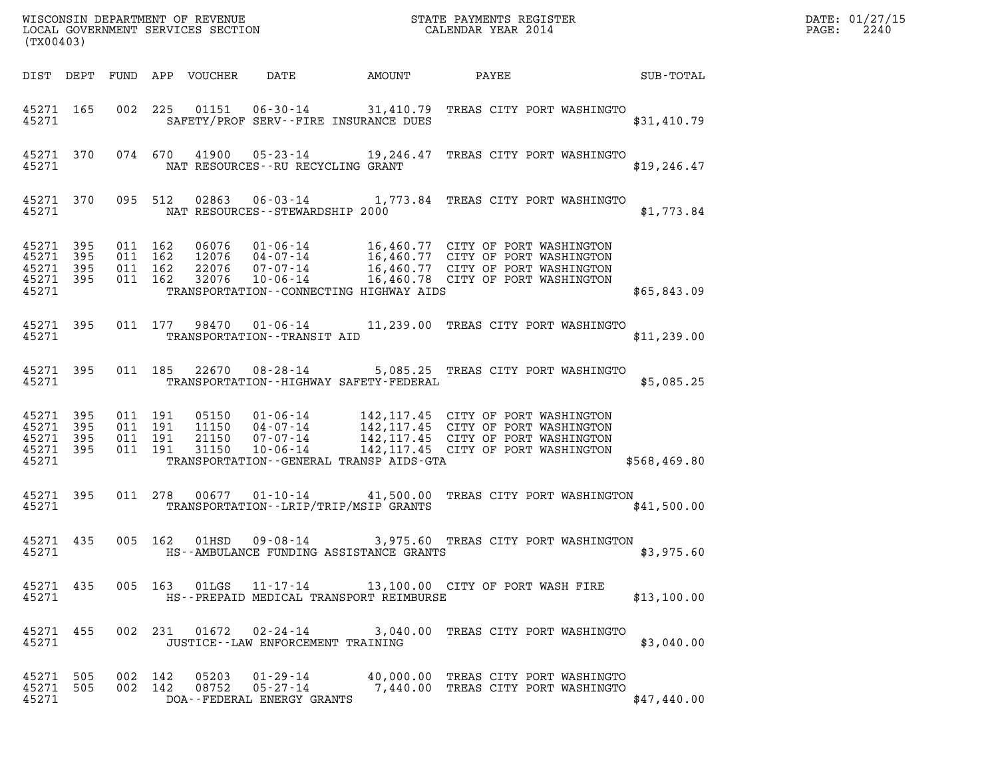| (TX00403)      |     |               |     | WISCONSIN DEPARTMENT OF REVENUE<br>LOCAL GOVERNMENT SERVICES SECTION |                                                  |                                       | STATE PAYMENTS REGISTER<br>CALENDAR YEAR 2014 |             | DATE: 01/27/15<br>2240<br>PAGE: |
|----------------|-----|---------------|-----|----------------------------------------------------------------------|--------------------------------------------------|---------------------------------------|-----------------------------------------------|-------------|---------------------------------|
| DIST DEPT      |     | FUND          | APP | <b>VOUCHER</b>                                                       | DATE                                             | AMOUNT                                | PAYEE                                         | SUB-TOTAL   |                                 |
| 45271<br>45271 | 165 | 002           | 225 | 01151                                                                | 06-30-14                                         | SAFETY/PROF SERV--FIRE INSURANCE DUES | 31,410.79 TREAS CITY PORT WASHINGTO           | \$31,410.79 |                                 |
| $1 - 2 - 1$    | 270 | $0.71$ $0.70$ |     | ,,,,,,                                                               | $\cap$ $\cap$ $\cap$ $\cap$ $\cap$ $\cap$ $\cap$ | 10.015.17                             | EDDRA ATEN DODE WASHINGED                     |             |                                 |

| (TX00403)                                 |                          |                          |                          |                                  |                                                                                                    |               |                                                                                                                                                        |              |
|-------------------------------------------|--------------------------|--------------------------|--------------------------|----------------------------------|----------------------------------------------------------------------------------------------------|---------------|--------------------------------------------------------------------------------------------------------------------------------------------------------|--------------|
| DIST                                      | DEPT                     | FUND                     | APP                      | VOUCHER                          | DATE                                                                                               | <b>AMOUNT</b> | <b>PAYEE</b>                                                                                                                                           | SUB-TOTAL    |
| 45271<br>45271                            | 165                      | 002                      | 225                      | 01151                            | SAFETY/PROF SERV--FIRE INSURANCE DUES                                                              |               | 06-30-14 31,410.79 TREAS CITY PORT WASHINGTO                                                                                                           | \$31,410.79  |
| 45271<br>45271                            | 370                      | 074 670                  |                          | 41900                            | 05-23-14<br>NAT RESOURCES -- RU RECYCLING GRANT                                                    | 19,246.47     | TREAS CITY PORT WASHINGTO                                                                                                                              | \$19, 246.47 |
| 45271<br>45271                            | 370                      | 095                      | 512                      | 02863                            | $06 - 03 - 14$<br>NAT RESOURCES - - STEWARDSHIP 2000                                               |               | 1,773.84 TREAS CITY PORT WASHINGTO                                                                                                                     | \$1,773.84   |
| 45271<br>45271<br>45271<br>45271<br>45271 | 395<br>395<br>395<br>395 | 011<br>011<br>011<br>011 | 162<br>162<br>162<br>162 | 06076<br>12076<br>22076<br>32076 | 01-06-14<br>04-07-14<br>$07 - 07 - 14$<br>10-06-14<br>TRANSPORTATION--CONNECTING HIGHWAY AIDS      |               | 16,460.77 CITY OF PORT WASHINGTON<br>16,460.77 CITY OF PORT WASHINGTON<br>16,460.77 CITY OF PORT WASHINGTON<br>16,460.78 CITY OF PORT WASHINGTON       | \$65,843.09  |
| 45271<br>45271                            | 395                      | 011                      | 177                      | 98470                            | 01-06-14<br>TRANSPORTATION - - TRANSIT AID                                                         |               | 11,239.00 TREAS CITY PORT WASHINGTO                                                                                                                    | \$11, 239.00 |
| 45271<br>45271                            | 395                      | 011                      | 185                      | 22670                            | $08 - 28 - 14$<br>TRANSPORTATION - - HIGHWAY SAFETY - FEDERAL                                      |               | 5,085.25 TREAS CITY PORT WASHINGTO                                                                                                                     | \$5,085.25   |
| 45271<br>45271<br>45271<br>45271<br>45271 | 395<br>395<br>395<br>395 | 011<br>011<br>011<br>011 | 191<br>191<br>191<br>191 | 05150<br>11150<br>21150<br>31150 | $01 - 06 - 14$<br>04-07-14<br>07-07-14<br>10-06-14<br>TRANSPORTATION - - GENERAL TRANSP AIDS - GTA |               | 142, 117.45 CITY OF PORT WASHINGTON<br>142, 117.45 CITY OF PORT WASHINGTON<br>142,117.45 CITY OF PORT WASHINGTON<br>142,117.45 CITY OF PORT WASHINGTON | \$568,469.80 |
| 45271<br>45271                            | 395                      | 011                      | 278                      | 00677                            | $01 - 10 - 14$ 41,500.00<br>TRANSPORTATION - - LRIP/TRIP/MSIP GRANTS                               |               | TREAS CITY PORT WASHINGTON                                                                                                                             | \$41,500.00  |
| 45271<br>45271                            | 435                      | 005                      | 162                      | 01HSD                            | $09 - 08 - 14$<br>HS--AMBULANCE FUNDING ASSISTANCE GRANTS                                          |               | 3,975.60 TREAS CITY PORT WASHINGTON                                                                                                                    | \$3,975.60   |
| 45271<br>45271                            | 435                      | 005                      | 163                      | 01LGS                            | 11-17-14<br>HS--PREPAID MEDICAL TRANSPORT REIMBURSE                                                |               | 13,100.00 CITY OF PORT WASH FIRE                                                                                                                       | \$13,100.00  |
| 45271 455<br>45271                        |                          |                          | 002 231                  | 01672                            | $02 - 24 - 14$<br>JUSTICE - - LAW ENFORCEMENT TRAINING                                             |               | 3,040.00 TREAS CITY PORT WASHINGTO                                                                                                                     | \$3,040.00   |
| 45271<br>45271<br>45271                   | 505<br>505               | 002<br>002               | 142<br>142               | 05203<br>08752                   | 01-29-14<br>$05 - 27 - 14$<br>DOA--FEDERAL ENERGY GRANTS                                           |               | 40,000.00 TREAS CITY PORT WASHINGTO<br>7,440.00 TREAS CITY PORT WASHINGTO                                                                              | \$47,440.00  |